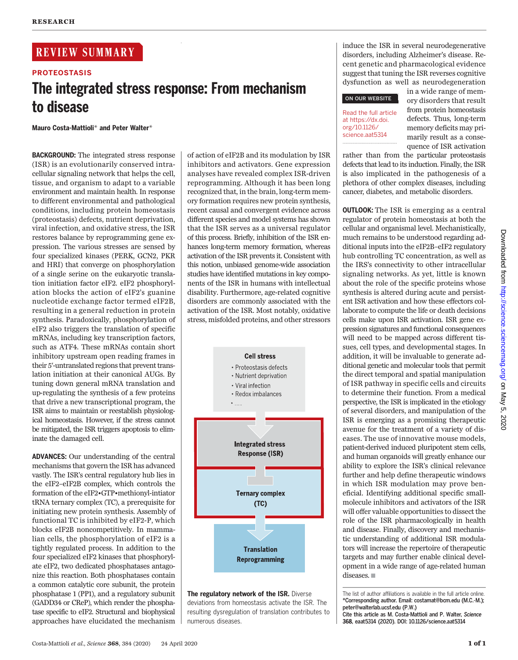# REVIEW SUMMARY

# PROTEOSTASIS The integrated stress response: From mechanism to disease

Mauro Costa-Mattioli\* and Peter Walter\*

BACKGROUND: The integrated stress response (ISR) is an evolutionarily conserved intracellular signaling network that helps the cell, tissue, and organism to adapt to a variable environment and maintain health. In response to different environmental and pathological conditions, including protein homeostasis (proteostasis) defects, nutrient deprivation, viral infection, and oxidative stress, the ISR restores balance by reprogramming gene expression. The various stresses are sensed by four specialized kinases (PERK, GCN2, PKR and HRI) that converge on phosphorylation of a single serine on the eukaryotic translation initiation factor eIF2. eIF2 phosphorylation blocks the action of eIF2's guanine nucleotide exchange factor termed eIF2B, resulting in a general reduction in protein synthesis. Paradoxically, phosphorylation of eIF2 also triggers the translation of specific mRNAs, including key transcription factors, such as ATF4. These mRNAs contain short inhibitory upstream open reading frames in their 5′-untranslated regions that prevent translation initiation at their canonical AUGs. By tuning down general mRNA translation and up-regulating the synthesis of a few proteins that drive a new transcriptional program, the ISR aims to maintain or reestablish physiological homeostasis. However, if the stress cannot be mitigated, the ISR triggers apoptosis to eliminate the damaged cell.

ADVANCES: Our understanding of the central mechanisms that govern the ISR has advanced vastly. The ISR's central regulatory hub lies in the eIF2–eIF2B complex, which controls the formation of the eIF2•GTP•methionyl-intiator tRNA ternary complex (TC), a prerequisite for initiating new protein synthesis. Assembly of functional TC is inhibited by eIF2-P, which blocks eIF2B noncompetitively. In mammalian cells, the phosphorylation of eIF2 is a tightly regulated process. In addition to the four specialized eIF2 kinases that phosphorylate eIF2, two dedicated phosphatases antagonize this reaction. Both phosphatases contain a common catalytic core subunit, the protein phosphatase 1 (PP1), and a regulatory subunit (GADD34 or CReP), which render the phosphatase specific to eIF2. Structural and biophysical approaches have elucidated the mechanism

of action of eIF2B and its modulation by ISR inhibitors and activators. Gene expression analyses have revealed complex ISR-driven reprogramming. Although it has been long recognized that, in the brain, long-term memory formation requires new protein synthesis, recent causal and convergent evidence across different species and model systems has shown that the ISR serves as a universal regulator of this process. Briefly, inhibition of the ISR enhances long-term memory formation, whereas activation of the ISR prevents it. Consistent with this notion, unbiased genome-wide association studies have identified mutations in key components of the ISR in humans with intellectual disability. Furthermore, age-related cognitive disorders are commonly associated with the activation of the ISR. Most notably, oxidative stress, misfolded proteins, and other stressors



The regulatory network of the ISR. Diverse deviations from homeostasis activate the ISR. The resulting dysregulation of translation contributes to numerous diseases.

induce the ISR in several neurodegenerative disorders, including Alzheimer's disease. Recent genetic and pharmacological evidence suggest that tuning the ISR reverses cognitive dysfunction as well as neurodegeneration

◥

# ON OUR WEBSITE

Read the full article at https://dx.doi. org/10.1126/ science.aat5314

in a wide range of memory disorders that result from protein homeostasis defects. Thus, long-term memory deficits may primarily result as a consequence of ISR activation

rather than from the particular proteostasis defects that lead to its induction. Finally, the ISR is also implicated in the pathogenesis of a plethora of other complex diseases, including cancer, diabetes, and metabolic disorders.

OUTLOOK: The ISR is emerging as a central regulator of protein homeostasis at both the cellular and organismal level. Mechanistically, much remains to be understood regarding additional inputs into the eIF2B–eIF2 regulatory hub controlling TC concentration, as well as the IRS's connectivity to other intracellular signaling networks. As yet, little is known about the role of the specific proteins whose synthesis is altered during acute and persistent ISR activation and how these effectors collaborate to compute the life or death decisions cells make upon ISR activation. ISR gene expression signatures and functional consequences will need to be mapped across different tissues, cell types, and developmental stages. In addition, it will be invaluable to generate additional genetic and molecular tools that permit the direct temporal and spatial manipulation of ISR pathway in specific cells and circuits to determine their function. From a medical perspective, the ISR is implicated in the etiology of several disorders, and manipulation of the ISR is emerging as a promising therapeutic avenue for the treatment of a variety of diseases. The use of innovative mouse models, patient-derived induced pluripotent stem cells, and human organoids will greatly enhance our ability to explore the ISR's clinical relevance further and help define therapeutic windows in which ISR modulation may prove beneficial. Identifying additional specific smallmolecule inhibitors and activators of the ISR will offer valuable opportunities to dissect the role of the ISR pharmacologically in health and disease. Finally, discovery and mechanistic understanding of additional ISR modulators will increase the repertoire of therapeutic targets and may further enable clinical development in a wide range of age-related human diseases.  $\blacksquare$ 

The list of author affiliations is available in the full article online. \*Corresponding author. Email: costamat@bcm.edu (M.C.-M.); peter@walterlab.ucsf.edu (P.W.) Cite this article as M. Costa-Mattioli and P. Walter, Science

<sup>368</sup>, eaat5314 (2020). DOI: 10.1126/science.aat5314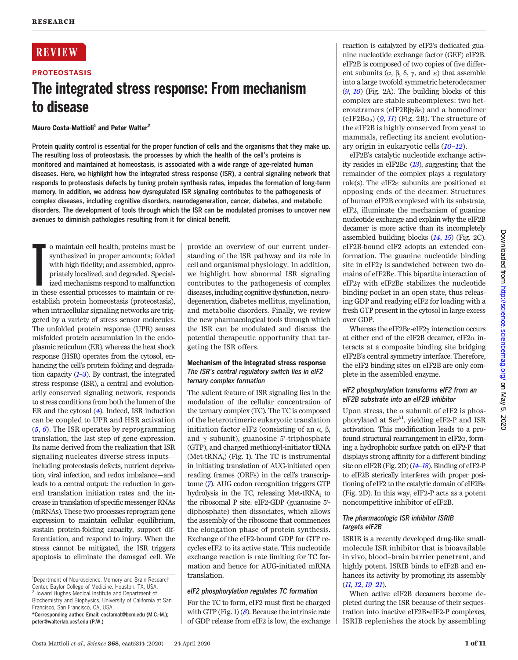# **REVIEW**

# PROTEOSTASIS The integrated stress response: From mechanism to disease

# Mauro Costa-Mattioli<sup>1</sup> and Peter Walter<sup>2</sup>

Protein quality control is essential for the proper function of cells and the organisms that they make up. The resulting loss of proteostasis, the processes by which the health of the cell's proteins is monitored and maintained at homeostasis, is associated with a wide range of age-related human diseases. Here, we highlight how the integrated stress response (ISR), a central signaling network that responds to proteostasis defects by tuning protein synthesis rates, impedes the formation of long-term memory. In addition, we address how dysregulated ISR signaling contributes to the pathogenesis of complex diseases, including cognitive disorders, neurodegeneration, cancer, diabetes, and metabolic disorders. The development of tools through which the ISR can be modulated promises to uncover new avenues to diminish pathologies resulting from it for clinical benefit.

o maintain cell health, proteins must be synthesized in proper amounts; folded with high fidelity; and assembled, appropriately localized, and degraded. Specialized mechanisms respond to malfunction in these essential proc o maintain cell health, proteins must be synthesized in proper amounts; folded with high fidelity; and assembled, appropriately localized, and degraded. Specialized mechanisms respond to malfunction establish protein homeostasis (proteostasis), when intracellular signaling networks are triggered by a variety of stress sensor molecules. The unfolded protein response (UPR) senses misfolded protein accumulation in the endoplasmic reticulum (ER), whereas the heat shock response (HSR) operates from the cytosol, enhancing the cell's protein folding and degradation capacity  $(1-3)$  $(1-3)$  $(1-3)$  $(1-3)$  $(1-3)$ . By contrast, the integrated stress response (ISR), a central and evolutionarily conserved signaling network, responds to stress conditions from both the lumen of the ER and the cytosol ([4](#page-8-0)). Indeed, ISR induction can be coupled to UPR and HSR activation  $(5, 6)$  $(5, 6)$  $(5, 6)$  $(5, 6)$  $(5, 6)$ . The ISR operates by reprogramming translation, the last step of gene expression. Its name derived from the realization that ISR signaling nucleates diverse stress inputs including proteostasis defects, nutrient deprivation, viral infection, and redox imbalance—and leads to a central output: the reduction in general translation initiation rates and the increase in translation of specific messenger RNAs (mRNAs). These two processes reprogram gene expression to maintain cellular equilibrium, sustain protein-folding capacity, support differentiation, and respond to injury. When the stress cannot be mitigated, the ISR triggers apoptosis to eliminate the damaged cell. We

provide an overview of our current understanding of the ISR pathway and its role in cell and organismal physiology. In addition, we highlight how abnormal ISR signaling contributes to the pathogenesis of complex diseases, including cognitive dysfunction, neurodegeneration, diabetes mellitus, myelination, and metabolic disorders. Finally, we review the new pharmacological tools through which the ISR can be modulated and discuss the potential therapeutic opportunity that targeting the ISR offers.

### Mechanism of the integrated stress response The ISR's central regulatory switch lies in eIF2 ternary complex formation

The salient feature of ISR signaling lies in the modulation of the cellular concentration of the ternary complex (TC). The TC is composed of the heterotrimeric eukaryotic translation initiation factor eIF2 (consisting of an  $\alpha$ ,  $\beta$ , and  $\gamma$  subunit), guanosine 5'-triphosphate (GTP), and charged methionyl-initiator tRNA  $(Met$ -tRNA<sub>i</sub> $)$  (Fig. 1). The TC is instrumental in initiating translation of AUG-initiated open reading frames (ORFs) in the cell's transcriptome ([7](#page-8-0)). AUG codon recognition triggers GTP hydrolysis in the TC, releasing Met-tRNA<sub>i</sub> to the ribosomal P site. eIF2-GDP (guanosine 5′ diphosphate) then dissociates, which allows the assembly of the ribosome that commences the elongation phase of protein synthesis. Exchange of the eIF2-bound GDP for GTP recycles eIF2 to its active state. This nucleotide exchange reaction is rate limiting for TC formation and hence for AUG-initiated mRNA translation.

# eIF2 phosphorylation regulates TC formation

For the TC to form, eIF2 must first be charged with GTP (Fig. 1)  $(8)$  $(8)$  $(8)$ . Because the intrinsic rate of GDP release from eIF2 is low, the exchange

reaction is catalyzed by eIF2's dedicated guanine nucleotide exchange factor (GEF) eIF2B. eIF2B is composed of two copies of five different subunits  $(\alpha, \beta, \delta, \gamma, \text{ and } \varepsilon)$  that assemble into a large twofold symmetric heterodecamer  $(9, 10)$  $(9, 10)$  $(9, 10)$  $(9, 10)$  $(9, 10)$  (Fig. 2A). The building blocks of this complex are stable subcomplexes: two heterotetramers (eIF2B $\beta\gamma\delta\epsilon$ ) and a homodimer  $(eIF2B\alpha_2)$  ([9](#page-8-0), [11](#page-8-0)) (Fig. 2B). The structure of the eIF2B is highly conserved from yeast to mammals, reflecting its ancient evolutionary origin in eukaryotic cells ([10](#page-8-0)–[12](#page-8-0)).

eIF2B's catalytic nucleotide exchange activity resides in eIF2B $\varepsilon$  ([13](#page-8-0)), suggesting that the remainder of the complex plays a regulatory role(s). The eIF2e subunits are positioned at opposing ends of the decamer. Structures of human eIF2B complexed with its substrate, eIF2, illuminate the mechanism of guanine nucleotide exchange and explain why the eIF2B decamer is more active than its incompletely assembled building blocks  $(14, 15)$  $(14, 15)$  $(14, 15)$  $(14, 15)$  $(14, 15)$  (Fig. 2C). eIF2B-bound eIF2 adopts an extended conformation. The guanine nucleotide binding site in eIF2 $\gamma$  is sandwiched between two domains of eIF2Be. This bipartite interaction of eIF2g with eIF2Be stabilizes the nucleotide binding pocket in an open state, thus releasing GDP and readying eIF2 for loading with a fresh GTP present in the cytosol in large excess over GDP.

Whereas the eIF2Be-eIF2 $\gamma$  interaction occurs at either end of the eIF2B decamer, eIF2 $\alpha$  interacts at a composite binding site bridging eIF2B's central symmetry interface. Therefore, the eIF2 binding sites on eIF2B are only complete in the assembled enzyme.

# eIF2 phosphorylation transforms eIF2 from an eIF2B substrate into an eIF2B inhibitor

Upon stress, the  $\alpha$  subunit of eIF2 is phosphorylated at Ser<sup>51</sup>, yielding eIF2-P and ISR activation. This modification leads to a profound structural rearrangement in  $eIF2\alpha$ , forming a hydrophobic surface patch on eIF2-P that displays strong affinity for a different binding site on eIF2B (Fig. 2D) ([14](#page-8-0)-[18](#page-8-0)). Binding of eIF2-P to eIF2B sterically interferes with proper positioning of eIF2 to the catalytic domain of eIF2Be (Fig. 2D). In this way, eIF2-P acts as a potent noncompetitive inhibitor of eIF2B.

# The pharmacologic ISR inhibitor ISRIB targets eIF2B

ISRIB is a recently developed drug-like smallmolecule ISR inhibitor that is bioavailable in vivo, blood–brain barrier penetrant, and highly potent. ISRIB binds to eIF2B and enhances its activity by promoting its assembly ([11](#page-8-0), [12](#page-8-0), [19](#page-8-0)–[21](#page-8-0)).

When active eIF2B decamers become depleted during the ISR because of their sequestration into inactive eIF2B•eIF2-P complexes, ISRIB replenishes the stock by assembling

<sup>&</sup>lt;sup>1</sup>Department of Neuroscience, Memory and Brain Research Center, Baylor College of Medicine, Houston, TX, USA. <sup>2</sup> Howard Hughes Medical Institute and Department of Biochemistry and Biophysics, University of California at San Francisco, San Francisco, CA, USA.

<sup>\*</sup>Corresponding author. Email: costamat@bcm.edu (M.C.-M.); peter@walterlab.ucsf.edu (P.W.)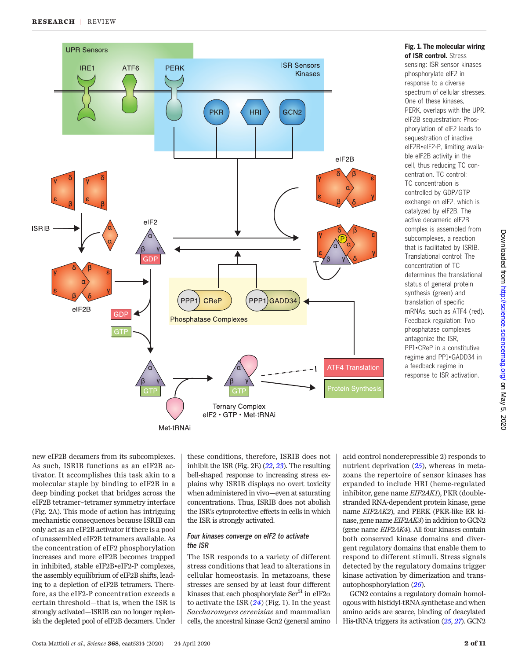

cell, thus reducing TC concentration. TC control: TC concentration is controlled by GDP/GTP exchange on eIF2, which is catalyzed by eIF2B. The active decameric eIF2B complex is assembled from subcomplexes, a reaction that is facilitated by ISRIB. Translational control: The concentration of TC determines the translational status of general protein synthesis (green) and translation of specific mRNAs, such as ATF4 (red). Feedback regulation: Two phosphatase complexes antagonize the ISR, PP1•CReP in a constitutive regime and PP1•GADD34 in a feedback regime in response to ISR activation.

on May 5, 2020 <http://science.sciencemag.org/> Downloaded from

Downloaded from http://science.sciencemag.org/ on May 5, 2020

new eIF2B decamers from its subcomplexes. As such, ISRIB functions as an eIF2B activator. It accomplishes this task akin to a molecular staple by binding to eIF2B in a deep binding pocket that bridges across the eIF2B tetramer–tetramer symmetry interface (Fig. 2A). This mode of action has intriguing mechanistic consequences because ISRIB can only act as an eIF2B activator if there is a pool of unassembled eIF2B tetramers available. As the concentration of eIF2 phosphorylation increases and more eIF2B becomes trapped in inhibited, stable eIF2B•eIF2-P complexes, the assembly equilibrium of eIF2B shifts, leading to a depletion of eIF2B tetramers. Therefore, as the eIF2-P concentration exceeds a certain threshold—that is, when the ISR is strongly activated—ISRIB can no longer replenish the depleted pool of eIF2B decamers. Under

these conditions, therefore, ISRIB does not inhibit the ISR (Fig. 2E) ([22](#page-8-0), [23](#page-8-0)). The resulting bell-shaped response to increasing stress explains why ISRIB displays no overt toxicity when administered in vivo—even at saturating concentrations. Thus, ISRIB does not abolish the ISR's cytoprotective effects in cells in which the ISR is strongly activated.

# Four kinases converge on eIF2 to activate the ISR

The ISR responds to a variety of different stress conditions that lead to alterations in cellular homeostasis. In metazoans, these stresses are sensed by at least four different kinases that each phosphorylate Ser<sup>51</sup> in eIF2 $\alpha$ to activate the ISR  $(24)$  $(24)$  $(24)$  (Fig. 1). In the yeast Saccharomyces cerevisiae and mammalian cells, the ancestral kinase Gcn2 (general amino acid control nonderepressible 2) responds to nutrient deprivation ([25](#page-8-0)), whereas in metazoans the repertoire of sensor kinases has expanded to include HRI (heme-regulated inhibitor, gene name EIF2AK1), PKR (doublestranded RNA-dependent protein kinase, gene name EIF2AK2), and PERK (PKR-like ER kinase, gene name EIF2AK3) in addition to GCN2 (gene name EIF2AK4). All four kinases contain both conserved kinase domains and divergent regulatory domains that enable them to respond to different stimuli. Stress signals detected by the regulatory domains trigger kinase activation by dimerization and transautophosphorylation ([26](#page-8-0)).

GCN2 contains a regulatory domain homologous with histidyl-tRNA synthetase and when amino acids are scarce, binding of deacylated His-tRNA triggers its activation ([25](#page-8-0), [27](#page-8-0)). GCN2

### Fig. 1. The molecular wiring of ISR control. Stress sensing: ISR sensor kinases

phosphorylate eIF2 in response to a diverse spectrum of cellular stresses. One of these kinases, PERK, overlaps with the UPR. eIF2B sequestration: Phosphorylation of eIF2 leads to sequestration of inactive eIF2B•eIF2-P, limiting available eIF2B activity in the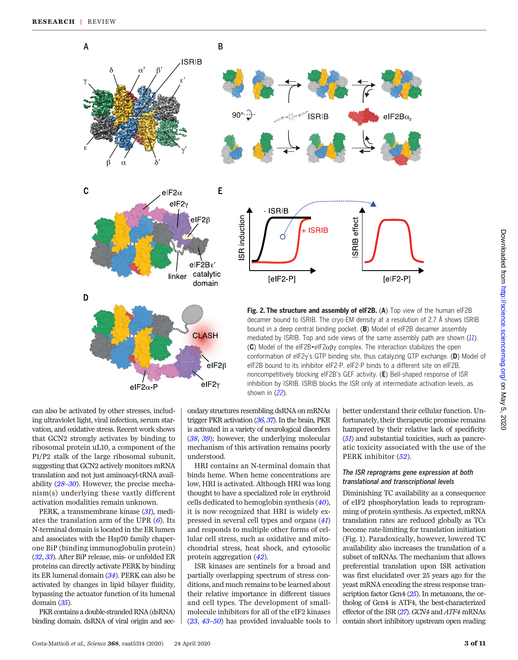

can also be activated by other stresses, including ultraviolet light, viral infection, serum starvation, and oxidative stress. Recent work shows that GCN2 strongly activates by binding to ribosomal protein uL10, a component of the P1/P2 stalk of the large ribosomal subunit, suggesting that GCN2 actively monitors mRNA translation and not just aminoacyl-tRNA availability ([28](#page-8-0)–[30](#page-8-0)). However, the precise mechanism(s) underlying these vastly different activation modalities remain unknown.

PERK, a transmembrane kinase ([31](#page-8-0)), mediates the translation arm of the UPR  $(6)$  $(6)$  $(6)$ . Its N-terminal domain is located in the ER lumen and associates with the Hsp70 family chaperone BiP (binding immunoglobulin protein) ([32](#page-8-0), [33](#page-8-0)). After BiP release, mis- or unfolded ER proteins can directly activate PERK by binding its ER lumenal domain ([34](#page-8-0)). PERK can also be activated by changes in lipid bilayer fluidity, bypassing the actuator function of its lumenal domain ([35](#page-8-0)).

PKR contains a double-stranded RNA (dsRNA) binding domain. dsRNA of viral origin and sec-

ondary structures resembling dsRNA on mRNAs trigger PKR activation ([36](#page-8-0), [37](#page-8-0)). In the brain, PKR is activated in a variety of neurological disorders ([38](#page-8-0), [39](#page-8-0)); however, the underlying molecular mechanism of this activation remains poorly understood.

HRI contains an N-terminal domain that binds heme. When heme concentrations are low, HRI is activated. Although HRI was long thought to have a specialized role in erythroid cells dedicated to hemoglobin synthesis  $(40)$  $(40)$  $(40)$ , it is now recognized that HRI is widely expressed in several cell types and organs ([41](#page-8-0)) and responds to multiple other forms of cellular cell stress, such as oxidative and mitochondrial stress, heat shock, and cytosolic protein aggregation ([42](#page-8-0)).

ISR kinases are sentinels for a broad and partially overlapping spectrum of stress conditions, and much remains to be learned about their relative importance in different tissues and cell types. The development of smallmolecule inhibitors for all of the eIF2 kinases ([23](#page-8-0), [43](#page-8-0)–[50](#page-9-0)) has provided invaluable tools to

better understand their cellular function. Unfortunately, their therapeutic promise remains hampered by their relative lack of specificity ([51](#page-9-0)) and substantial toxicities, such as pancreatic toxicity associated with the use of the PERK inhibitor ([52](#page-9-0)).

#### The ISR reprograms gene expression at both translational and transcriptional levels

Diminishing TC availability as a consequence of eIF2 phosphorylation leads to reprogramming of protein synthesis. As expected, mRNA translation rates are reduced globally as TCs become rate-limiting for translation initiation (Fig. 1). Paradoxically, however, lowered TC availability also increases the translation of a subset of mRNAs. The mechanism that allows preferential translation upon ISR activation was first elucidated over 25 years ago for the yeast mRNA encoding the stress response transcription factor Gcn4 ([25](#page-8-0)). In metazoans, the ortholog of Gcn4 is ATF4, the best-characterized effector of the ISR ([27](#page-8-0)). GCN4 and ATF4 mRNAs contain short inhibitory upstream open reading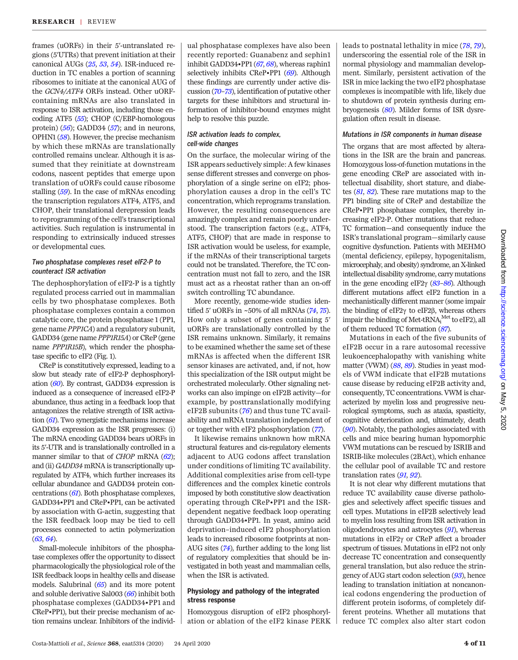frames (uORFs) in their 5′-untranslated regions (5′UTRs) that prevent initiation at their canonical AUGs ([25](#page-8-0), [53](#page-9-0), [54](#page-9-0)). ISR-induced reduction in TC enables a portion of scanning ribosomes to initiate at the canonical AUG of the GCN4/ATF4 ORFs instead. Other uORFcontaining mRNAs are also translated in response to ISR activation, including those encoding ATF5 ([55](#page-9-0)); CHOP (C/EBP-homologous protein)  $(56)$  $(56)$  $(56)$ ; GADD34  $(57)$  $(57)$  $(57)$ ; and in neurons, OPHN1 ([58](#page-9-0)). However, the precise mechanism by which these mRNAs are translationally controlled remains unclear. Although it is assumed that they reinitiate at downstream codons, nascent peptides that emerge upon translation of uORFs could cause ribosome stalling ([59](#page-9-0)). In the case of mRNAs encoding the transcription regulators ATF4, ATF5, and CHOP, their translational derepression leads to reprogramming of the cell's transcriptional activities. Such regulation is instrumental in responding to extrinsically induced stresses or developmental cues.

#### Two phosphatase complexes reset eIF2-P to counteract ISR activation

The dephosphorylation of eIF2-P is a tightly regulated process carried out in mammalian cells by two phosphatase complexes. Both phosphatase complexes contain a common catalytic core, the protein phosphatase 1 (PP1, gene name PPP1CA) and a regulatory subunit, GADD34 (gene name PPP1R15A) or CReP (gene name PPP1R15B), which render the phosphatase specific to eIF2 (Fig. 1).

CReP is constitutively expressed, leading to a slow but steady rate of eIF2-P dephosphorylation  $(60)$  $(60)$  $(60)$ . By contrast, GADD34 expression is induced as a consequence of increased eIF2-P abundance, thus acting in a feedback loop that antagonizes the relative strength of ISR activation  $(61)$  $(61)$  $(61)$ . Two synergistic mechanisms increase GADD34 expression as the ISR progresses: (i) The mRNA encoding GADD34 bears uORFs in its 5′-UTR and is translationally controlled in a manner similar to that of *CHOP* mRNA ([62](#page-9-0)); and (ii) GADD34 mRNA is transcriptionally upregulated by ATF4, which further increases its cellular abundance and GADD34 protein concentrations  $(61)$  $(61)$  $(61)$ . Both phosphatase complexes, GADD34•PP1 and CReP•PP1, can be activated by association with G-actin, suggesting that the ISR feedback loop may be tied to cell processes connected to actin polymerization  $(63, 64)$  $(63, 64)$  $(63, 64)$  $(63, 64)$  $(63, 64)$ .

Small-molecule inhibitors of the phosphatase complexes offer the opportunity to dissect pharmacologically the physiological role of the ISR feedback loops in healthy cells and disease models. Salubrinal ([65](#page-9-0)) and its more potent and soluble derivative Sal003 ([66](#page-9-0)) inhibit both phosphatase complexes (GADD34•PP1 and CReP•PP1), but their precise mechanism of action remains unclear. Inhibitors of the individ-

ual phosphatase complexes have also been recently reported: Guanabenz and sephin1 inhibit GADD34•PP1  $(67, 68)$  $(67, 68)$  $(67, 68)$  $(67, 68)$  $(67, 68)$ , whereas raphin1 selectively inhibits CReP•PP1 ([69](#page-9-0)). Although these findings are currently under active discussion ([70](#page-9-0)–[73](#page-9-0)), identification of putative other targets for these inhibitors and structural information of inhibitor-bound enzymes might help to resolve this puzzle.

### ISR activation leads to complex, cell-wide changes

On the surface, the molecular wiring of the ISR appears seductively simple: A few kinases sense different stresses and converge on phosphorylation of a single serine on eIF2; phosphorylation causes a drop in the cell's TC concentration, which reprograms translation. However, the resulting consequences are amazingly complex and remain poorly understood. The transcription factors (e.g., ATF4, ATF5, CHOP) that are made in response to ISR activation would be useless, for example, if the mRNAs of their transcriptional targets could not be translated. Therefore, the TC concentration must not fall to zero, and the ISR must act as a rheostat rather than an on-off switch controlling TC abundance.

More recently, genome-wide studies identified 5′ uORFs in ~50% of all mRNAs ([74](#page-9-0), [75](#page-9-0)). How only a subset of genes containing 5′ uORFs are translationally controlled by the ISR remains unknown. Similarly, it remains to be examined whether the same set of these mRNAs is affected when the different ISR sensor kinases are activated, and, if not, how this specialization of the ISR output might be orchestrated molecularly. Other signaling networks can also impinge on eIF2B activity—for example, by posttranslationally modifying eIF2B subunits ([76](#page-9-0)) and thus tune TC availability and mRNA translation independent of or together with eIF2 phosphorylation ([77](#page-9-0)).

It likewise remains unknown how mRNA structural features and cis-regulatory elements adjacent to AUG codons affect translation under conditions of limiting TC availability. Additional complexities arise from cell-type differences and the complex kinetic controls imposed by both constitutive slow deactivation operating through CReP•PP1 and the ISRdependent negative feedback loop operating through GADD34•PP1. In yeast, amino acid deprivation–induced eIF2 phosphorylation leads to increased ribosome footprints at non-AUG sites ([74](#page-9-0)), further adding to the long list of regulatory complexities that should be investigated in both yeast and mammalian cells, when the ISR is activated.

### Physiology and pathology of the integrated stress response

Homozygous disruption of eIF2 phosphorylation or ablation of the eIF2 kinase PERK leads to postnatal lethality in mice ([78](#page-9-0), [79](#page-9-0)), underscoring the essential role of the ISR in normal physiology and mammalian development. Similarly, persistent activation of the ISR in mice lacking the two eIF2 phosphatase complexes is incompatible with life, likely due to shutdown of protein synthesis during embryogenesis ([80](#page-9-0)). Milder forms of ISR dysregulation often result in disease.

#### Mutations in ISR components in human disease

The organs that are most affected by alterations in the ISR are the brain and pancreas. Homozygous loss-of-function mutations in the gene encoding CReP are associated with intellectual disability, short stature, and diabetes ([81](#page-9-0), [82](#page-9-0)). These rare mutations map to the PP1 binding site of CReP and destabilize the CReP•PP1 phosphatase complex, thereby increasing eIF2-P. Other mutations that reduce TC formation—and consequently induce the ISR's translational program—similarly cause cognitive dysfunction. Patients with MEHMO (mental deficiency, epilepsy, hypogenitalism, microcephaly, and obesity) syndrome, an X-linked intellectual disability syndrome, carry mutations in the gene encoding eIF2 $\gamma$  ([83](#page-9-0)–[86](#page-9-0)). Although different mutations affect eIF2 function in a mechanistically different manner (some impair the binding of eIF $2\gamma$  to eIF $2\beta$ , whereas others impair the binding of Met-t $\text{RNA}_{\text{i}}^{\text{Met}}$  to eIF2), all of them reduced TC formation ([87](#page-9-0)).

Mutations in each of the five subunits of eIF2B occur in a rare autosomal recessive leukoencephalopathy with vanishing white matter (VWM) ([88](#page-9-0), [89](#page-9-0)). Studies in yeast models of VWM indicate that eIF2B mutations cause disease by reducing eIF2B activity and, consequently, TC concentrations. VWM is characterized by myelin loss and progressive neurological symptoms, such as ataxia, spasticity, cognitive deterioration and, ultimately, death ([90](#page-9-0)). Notably, the pathologies associated with cells and mice bearing human hypomorphic VWM mutations can be rescued by ISRIB and ISRIB-like molecules (2BAct), which enhance the cellular pool of available TC and restore translation rates ([91](#page-9-0), [92](#page-9-0)).

It is not clear why different mutations that reduce TC availability cause diverse pathologies and selectively affect specific tissues and cell types. Mutations in eIF2B selectively lead to myelin loss resulting from ISR activation in oligodendrocytes and astrocytes  $(91)$  $(91)$  $(91)$ , whereas mutations in eIF2 $\gamma$  or CReP affect a broader spectrum of tissues. Mutations in eIF2 not only decrease TC concentration and consequently general translation, but also reduce the stringency of AUG start codon selection ([93](#page-9-0)), hence leading to translation initiation at noncanonical codons engendering the production of different protein isoforms, of completely different proteins. Whether all mutations that reduce TC complex also alter start codon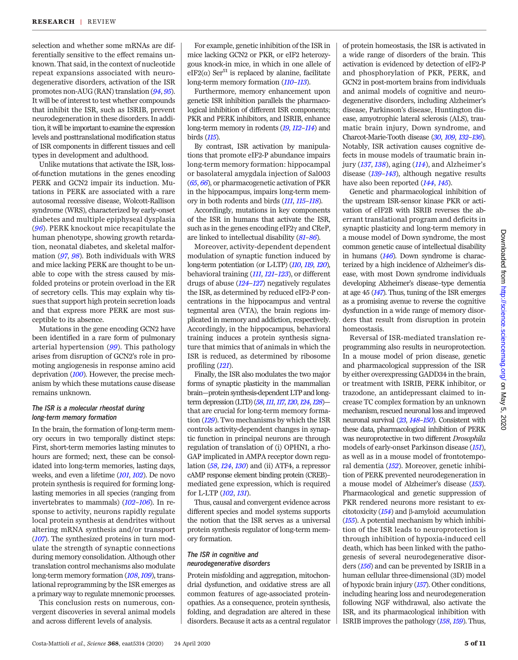selection and whether some mRNAs are differentially sensitive to the effect remains unknown. That said, in the context of nucleotide repeat expansions associated with neurodegenerative disorders, activation of the ISR promotes non-AUG (RAN) translation ([94](#page-9-0), [95](#page-9-0)). It will be of interest to test whether compounds that inhibit the ISR, such as ISRIB, prevent neurodegeneration in these disorders. In addition, it will be important to examine the expression levels and posttranslational modification status of ISR components in different tissues and cell types in development and adulthood.

Unlike mutations that activate the ISR, lossof-function mutations in the genes encoding PERK and GCN2 impair its induction. Mutations in PERK are associated with a rare autosomal recessive disease, Wolcott-Rallison syndrome (WRS), characterized by early-onset diabetes and multiple epiphyseal dysplasia ([96](#page-9-0)). PERK knockout mice recapitulate the human phenotype, showing growth retardation, neonatal diabetes, and skeletal malformation ([97](#page-9-0), [98](#page-9-0)). Both individuals with WRS and mice lacking PERK are thought to be unable to cope with the stress caused by misfolded proteins or protein overload in the ER of secretory cells. This may explain why tissues that support high protein secretion loads and that express more PERK are most susceptible to its absence.

Mutations in the gene encoding GCN2 have been identified in a rare form of pulmonary arterial hypertension ([99](#page-9-0)). This pathology arises from disruption of GCN2's role in promoting angiogenesis in response amino acid deprivation ([100](#page-9-0)). However, the precise mechanism by which these mutations cause disease remains unknown.

#### The ISR is a molecular rheostat during long-term memory formation

In the brain, the formation of long-term memory occurs in two temporally distinct steps: First, short-term memories lasting minutes to hours are formed; next, these can be consolidated into long-term memories, lasting days, weeks, and even a lifetime ([101](#page-9-0), [102](#page-9-0)). De novo protein synthesis is required for forming longlasting memories in all species (ranging from invertebrates to mammals) ([102](#page-9-0)–[106](#page-9-0)). In response to activity, neurons rapidly regulate local protein synthesis at dendrites without altering mRNA synthesis and/or transport ([107](#page-10-0)). The synthesized proteins in turn modulate the strength of synaptic connections during memory consolidation. Although other translation control mechanisms also modulate long-term memory formation ([108](#page-10-0), [109](#page-10-0)), translational reprogramming by the ISR emerges as a primary way to regulate mnemonic processes.

This conclusion rests on numerous, convergent discoveries in several animal models and across different levels of analysis.

For example, genetic inhibition of the ISR in mice lacking GCN2 or PKR, or eIF2 heterozygous knock-in mice, in which in one allele of  $eIF2(\alpha)$  Ser<sup>51</sup> is replaced by alanine, facilitate long-term memory formation ( $110-113$  $110-113$  $110-113$ ).

Furthermore, memory enhancement upon genetic ISR inhibition parallels the pharmacological inhibition of different ISR components; PKR and PERK inhibitors, and ISRIB, enhance long-term memory in rodents ([19](#page-8-0), [112](#page-10-0)–[114](#page-10-0)) and birds ([115](#page-10-0)).

By contrast, ISR activation by manipulations that promote eIF2-P abundance impairs long-term memory formation: hippocampal or basolateral amygdala injection of Sal003 ([65](#page-9-0), [66](#page-9-0)), or pharmacogenetic activation of PKR in the hippocampus, impairs long-term memory in both rodents and birds ([111](#page-10-0), [115](#page-10-0)–[118](#page-10-0)).

Accordingly, mutations in key components of the ISR in humans that activate the ISR, such as in the genes encoding eIF2 $\gamma$  and CReP, are linked to intellectual disability ([81](#page-9-0)–[86](#page-9-0)).

Moreover, activity-dependent dependent modulation of synaptic function induced by long-term potentiation (or L-LTP) ([110](#page-10-0), [119](#page-10-0), [120](#page-10-0)), behavioral training ([111](#page-10-0), [121](#page-10-0)–[123](#page-10-0)), or different drugs of abuse  $(124-127)$  $(124-127)$  $(124-127)$  $(124-127)$  $(124-127)$  negatively regulates the ISR, as determined by reduced eIF2-P concentrations in the hippocampus and ventral tegmental area (VTA), the brain regions implicated in memory and addiction, respectively. Accordingly, in the hippocampus, behavioral training induces a protein synthesis signature that mimics that of animals in which the ISR is reduced, as determined by ribosome profiling ([121](#page-10-0)).

Finally, the ISR also modulates the two major forms of synaptic plasticity in the mammalian brain—protein synthesis-dependent LTP and long-term depression (LTD) ([58](#page-9-0), [111](#page-10-0), [117](#page-10-0), [120](#page-10-0), [124](#page-10-0), [128](#page-10-0))that are crucial for long-term memory formation ([129](#page-10-0)). Two mechanisms by which the ISR controls activity-dependent changes in synaptic function in principal neurons are through regulation of translation of (i) OPHN1, a rho-GAP implicated in AMPA receptor down regulation ([58](#page-9-0), [124](#page-10-0), [130](#page-10-0)) and (ii) ATF4, a repressor cAMP response element binding protein (CREB)– mediated gene expression, which is required for L-LTP ([102](#page-9-0), [131](#page-10-0)).

Thus, causal and convergent evidence across different species and model systems supports the notion that the ISR serves as a universal protein synthesis regulator of long-term memory formation.

#### The ISR in cognitive and neurodegenerative disorders

Protein misfolding and aggregation, mitochondrial dysfunction, and oxidative stress are all common features of age-associated proteinopathies. As a consequence, protein synthesis, folding, and degradation are altered in these disorders. Because it acts as a central regulator of protein homeostasis, the ISR is activated in a wide range of disorders of the brain. This activation is evidenced by detection of eIF2-P and phosphorylation of PKR, PERK, and GCN2 in post-mortem brains from individuals and animal models of cognitive and neurodegenerative disorders, including Alzheimer's disease, Parkinson's disease, Huntington disease, amyotrophic lateral sclerosis (ALS), traumatic brain injury, Down syndrome, and Charcot-Marie-Tooth disease ([30](#page-8-0), [109](#page-10-0), [132](#page-10-0)–[136](#page-10-0)). Notably, ISR activation causes cognitive defects in mouse models of traumatic brain injury ([137](#page-10-0), [138](#page-10-0)), aging ([114](#page-10-0)), and Alzheimer's disease  $(139-143)$  $(139-143)$  $(139-143)$  $(139-143)$  $(139-143)$ , although negative results have also been reported ([144](#page-10-0), [145](#page-10-0)).

Genetic and pharmacological inhibition of the upstream ISR-sensor kinase PKR or activation of eIF2B with ISRIB reverses the aberrant translational program and deficits in synaptic plasticity and long-term memory in a mouse model of Down syndrome, the most common genetic cause of intellectual disability in humans  $(146)$  $(146)$  $(146)$ . Down syndrome is characterized by a high incidence of Alzheimer's disease, with most Down syndrome individuals developing Alzheimer's disease–type dementia at age 45 ([147](#page-10-0)). Thus, tuning of the ISR emerges as a promising avenue to reverse the cognitive dysfunction in a wide range of memory disorders that result from disruption in protein homeostasis.

Reversal of ISR-mediated translation reprogramming also results in neuroprotection. In a mouse model of prion disease, genetic and pharmacological suppression of the ISR by either overexpressing GADD34 in the brain, or treatment with ISRIB, PERK inhibitor, or trazodone, an antidepressant claimed to increase TC complex formation by an unknown mechanism, rescued neuronal loss and improved neuronal survival ([23](#page-8-0), [148](#page-10-0)–[150](#page-10-0)). Consistent with these data, pharmacological inhibition of PERK was neuroprotective in two different Drosophila models of early-onset Parkinson disease ([151](#page-10-0)), as well as in a mouse model of frontotemporal dementia ([152](#page-10-0)). Moreover, genetic inhibition of PERK prevented neurodegeneration in a mouse model of Alzheimer's disease ([153](#page-10-0)). Pharmacological and genetic suppression of PKR rendered neurons more resistant to excitotoxicity  $(154)$  $(154)$  $(154)$  and  $\beta$ -amyloid accumulation ([155](#page-10-0)). A potential mechanism by which inhibition of the ISR leads to neuroprotection is through inhibition of hypoxia-induced cell death, which has been linked with the pathogenesis of several neurodegenerative disorders ([156](#page-10-0)) and can be prevented by ISRIB in a human cellular three-dimensional (3D) model of hypoxic brain injury ([157](#page-10-0)). Other conditions, including hearing loss and neurodegeneration following NGF withdrawal, also activate the ISR, and its pharmacological inhibition with ISRIB improves the pathology ([158](#page-10-0),[159](#page-10-0)). Thus,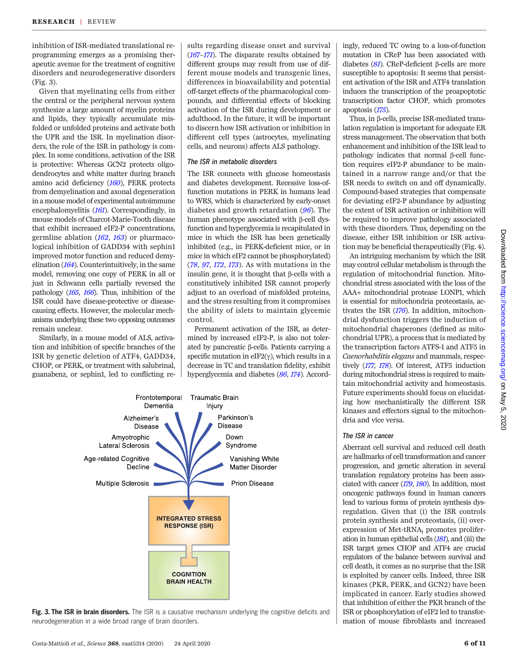inhibition of ISR-mediated translational reprogramming emerges as a promising therapeutic avenue for the treatment of cognitive disorders and neurodegenerative disorders (Fig. 3).

Given that myelinating cells from either the central or the peripheral nervous system synthesize a large amount of myelin proteins and lipids, they typically accumulate misfolded or unfolded proteins and activate both the UPR and the ISR. In myelination disorders, the role of the ISR in pathology is complex. In some conditions, activation of the ISR is protective: Whereas GCN2 protects oligodendrocytes and white matter during branch amino acid deficiency ([160](#page-10-0)), PERK protects from demyelination and axonal degeneration in a mouse model of experimental autoimmune encephalomyelitis ([161](#page-10-0)). Correspondingly, in mouse models of Charcot-Marie-Tooth disease that exhibit increased eIF2-P concentrations, germline ablation  $(162, 163)$  $(162, 163)$  $(162, 163)$  $(162, 163)$  $(162, 163)$  or pharmacological inhibition of GADD34 with sephin1 improved motor function and reduced demyelination ([164](#page-10-0)). Counterintuitively, in the same model, removing one copy of PERK in all or just in Schwann cells partially reversed the pathology ([165](#page-10-0), [166](#page-10-0)). Thus, inhibition of the ISR could have disease-protective or diseasecausing effects. However, the molecular mechanisms underlying these two opposing outcomes remain unclear.

Similarly, in a mouse model of ALS, activation and inhibition of specific branches of the ISR by genetic deletion of ATF4, GADD34, CHOP, or PERK, or treatment with salubrinal, guanabenz, or sephin1, led to conflicting re-

sults regarding disease onset and survival ([167](#page-11-0)–[171](#page-11-0)). The disparate results obtained by different groups may result from use of different mouse models and transgenic lines, differences in bioavailability and potential off-target effects of the pharmacological compounds, and differential effects of blocking activation of the ISR during development or adulthood. In the future, it will be important to discern how ISR activation or inhibition in different cell types (astrocytes, myelinating cells, and neurons) affects ALS pathology.

#### The ISR in metabolic disorders

The ISR connects with glucose homeostasis and diabetes development. Recessive loss-offunction mutations in PERK in humans lead to WRS, which is characterized by early-onset diabetes and growth retardation  $(96)$  $(96)$  $(96)$ . The human phenotype associated with  $\beta$ -cell dysfunction and hyperglycemia is recapitulated in mice in which the ISR has been genetically inhibited (e.g., in PERK-deficient mice, or in mice in which eIF2 cannot be phosphorylated) ([78](#page-9-0), [97](#page-9-0), [172](#page-11-0), [173](#page-11-0)). As with mutations in the insulin gene, it is thought that  $\beta$ -cells with a constitutively inhibited ISR cannot properly adjust to an overload of misfolded proteins, and the stress resulting from it compromises the ability of islets to maintain glycemic control.

Permanent activation of the ISR, as determined by increased eIF2-P, is also not tolerated by pancreatic  $\beta$ -cells. Patients carrying a specific mutation in eIF2( $\gamma$ ), which results in a decrease in TC and translation fidelity, exhibit hyperglycemia and diabetes ([86](#page-9-0), [174](#page-11-0)). Accord-



Fig. 3. The ISR in brain disorders. The ISR is a causative mechanism underlying the cognitive deficits and neurodegeneration in a wide broad range of brain disorders.

ingly, reduced TC owing to a loss-of-function mutation in CReP has been associated with diabetes  $(81)$  $(81)$  $(81)$ . CReP-deficient  $\beta$ -cells are more susceptible to apoptosis: It seems that persistent activation of the ISR and ATF4 translation induces the transcription of the proapoptotic transcription factor CHOP, which promotes apoptosis ([175](#page-11-0)).

Thus, in b-cells, precise ISR-mediated translation regulation is important for adequate ER stress management. The observation that both enhancement and inhibition of the ISR lead to  $pathology$  indicates that normal  $\beta$ -cell function requires eIF2-P abundance to be maintained in a narrow range and/or that the ISR needs to switch on and off dynamically. Compound-based strategies that compensate for deviating eIF2-P abundance by adjusting the extent of ISR activation or inhibition will be required to improve pathology associated with these disorders. Thus, depending on the disease, either ISR inhibition or ISR activation may be beneficial therapeutically (Fig. 4).

An intriguing mechanism by which the ISR may control cellular metabolism is through the regulation of mitochondrial function. Mitochondrial stress associated with the loss of the AAA+ mitochondrial protease LONP1, which is essential for mitochondria proteostasis, activates the ISR ([176](#page-11-0)). In addition, mitochondrial dysfunction triggers the induction of mitochondrial chaperones (defined as mitochondrial UPR), a process that is mediated by the transcription factors ATFS-1 and ATF5 in Caenorhabditis elegans and mammals, respectively ([177](#page-11-0), [178](#page-11-0)). Of interest, ATF5 induction during mitochondrial stress is required to maintain mitochondrial activity and homeostasis. Future experiments should focus on elucidating how mechanistically the different ISR kinases and effectors signal to the mitochondria and vice versa.

#### The ISR in cancer

Aberrant cell survival and reduced cell death are hallmarks of cell transformation and cancer progression, and genetic alteration in several translation regulatory proteins has been associated with cancer ([179](#page-11-0), [180](#page-11-0)). In addition, most oncogenic pathways found in human cancers lead to various forms of protein synthesis dysregulation. Given that (i) the ISR controls protein synthesis and proteostasis, (ii) overexpression of Met-tRNAi promotes proliferation in human epithelial cells ([181](#page-11-0)), and (iii) the ISR target genes CHOP and ATF4 are crucial regulators of the balance between survival and cell death, it comes as no surprise that the ISR is exploited by cancer cells. Indeed, three ISR kinases (PKR, PERK, and GCN2) have been implicated in cancer. Early studies showed that inhibition of either the PKR branch of the ISR or phosphorylation of eIF2 led to transformation of mouse fibroblasts and increased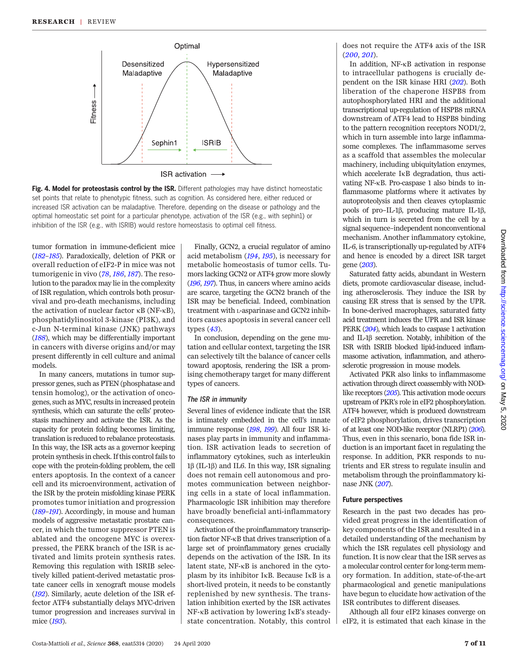

Fig. 4. Model for proteostasis control by the ISR. Different pathologies may have distinct homeostatic set points that relate to phenotypic fitness, such as cognition. As considered here, either reduced or increased ISR activation can be maladaptive. Therefore, depending on the disease or pathology and the optimal homeostatic set point for a particular phenotype, activation of the ISR (e.g., with sephin1) or inhibition of the ISR (e.g., with ISRIB) would restore homeostasis to optimal cell fitness.

tumor formation in immune-deficient mice ([182](#page-11-0)–[185](#page-11-0)). Paradoxically, deletion of PKR or overall reduction of eIF2-P in mice was not tumorigenic in vivo ([78](#page-9-0), [186](#page-11-0), [187](#page-11-0)). The resolution to the paradox may lie in the complexity of ISR regulation, which controls both prosurvival and pro-death mechanisms, including the activation of nuclear factor  $\kappa$ B (NF- $\kappa$ B), phosphatidylinositol 3-kinase (PI3K), and c-Jun N-terminal kinase (JNK) pathways ([188](#page-11-0)), which may be differentially important in cancers with diverse origins and/or may present differently in cell culture and animal models.

In many cancers, mutations in tumor suppressor genes, such as PTEN (phosphatase and tensin homolog), or the activation of oncogenes, such as MYC, results in increased protein synthesis, which can saturate the cells' proteostasis machinery and activate the ISR. As the capacity for protein folding becomes limiting, translation is reduced to rebalance proteostasis. In this way, the ISR acts as a governor keeping protein synthesis in check. If this control fails to cope with the protein-folding problem, the cell enters apoptosis. In the context of a cancer cell and its microenvironment, activation of the ISR by the protein misfolding kinase PERK promotes tumor initiation and progression ([189](#page-11-0)–[191](#page-11-0)). Accordingly, in mouse and human models of aggressive metastatic prostate cancer, in which the tumor suppressor PTEN is ablated and the oncogene MYC is overexpressed, the PERK branch of the ISR is activated and limits protein synthesis rates. Removing this regulation with ISRIB selectively killed patient-derived metastatic prostate cancer cells in xenograft mouse models ([192](#page-11-0)). Similarly, acute deletion of the ISR effector ATF4 substantially delays MYC-driven tumor progression and increases survival in mice ([193](#page-11-0)).

Finally, GCN2, a crucial regulator of amino acid metabolism ([194](#page-11-0), [195](#page-11-0)), is necessary for metabolic homeostasis of tumor cells. Tumors lacking GCN2 or ATF4 grow more slowly ([196](#page-11-0), [197](#page-11-0)). Thus, in cancers where amino acids are scarce, targeting the GCN2 branch of the ISR may be beneficial. Indeed, combination treatment with L-asparinase and GCN2 inhibitors causes apoptosis in several cancer cell types ([43](#page-8-0)).

In conclusion, depending on the gene mutation and cellular context, targeting the ISR can selectively tilt the balance of cancer cells toward apoptosis, rendering the ISR a promising chemotherapy target for many different types of cancers.

#### The ISR in immunity

Several lines of evidence indicate that the ISR is intimately embedded in the cell's innate immune response ([198](#page-11-0), [199](#page-11-0)). All four ISR kinases play parts in immunity and inflammation. ISR activation leads to secretion of inflammatory cytokines, such as interleukin  $1\beta$  (IL-1 $\beta$ ) and IL6. In this way, ISR signaling does not remain cell autonomous and promotes communication between neighboring cells in a state of local inflammation. Pharmacologic ISR inhibition may therefore have broadly beneficial anti-inflammatory consequences.

Activation of the proinflammatory transcription factor NF-kB that drives transcription of a large set of proinflammatory genes crucially depends on the activation of the ISR. In its latent state, NF-kB is anchored in the cytoplasm by its inhibitor IkB. Because IkB is a short-lived protein, it needs to be constantly replenished by new synthesis. The translation inhibition exerted by the ISR activates NF-kB activation by lowering IkB's steadystate concentration. Notably, this control

does not require the ATF4 axis of the ISR ([200](#page-11-0), [201](#page-11-0)).

In addition, NF-kB activation in response to intracellular pathogens is crucially dependent on the ISR kinase HRI ([202](#page-11-0)). Both liberation of the chaperone HSPB8 from autophosphorylated HRI and the additional transcriptional up-regulation of HSPB8 mRNA downstream of ATF4 lead to HSPB8 binding to the pattern recognition receptors NOD1/2, which in turn assemble into large inflammasome complexes. The inflammasome serves as a scaffold that assembles the molecular machinery, including ubiquitylation enzymes, which accelerate IkB degradation, thus activating NF-kB. Pro-caspase 1 also binds to inflammasome platforms where it activates by autoproteolysis and then cleaves cytoplasmic pools of pro–IL-1b, producing mature IL-1b, which in turn is secreted from the cell by a signal sequence–independent nonconventional mechanism. Another inflammatory cytokine, IL-6, is transcriptionally up-regulated by ATF4 and hence is encoded by a direct ISR target gene ([203](#page-11-0)).

Saturated fatty acids, abundant in Western diets, promote cardiovascular disease, including atherosclerosis. They induce the ISR by causing ER stress that is sensed by the UPR. In bone-derived macrophages, saturated fatty acid treatment induces the UPR and ISR kinase PERK ([204](#page-11-0)), which leads to caspase 1 activation and IL-1b secretion. Notably, inhibition of the ISR with ISRIB blocked lipid-induced inflammasome activation, inflammation, and atherosclerotic progression in mouse models.

Activated PKR also links to inflammasome activation through direct coassembly with NODlike receptors ([205](#page-11-0)). This activation mode occurs upstream of PKR's role in eIF2 phosphorylation. ATF4 however, which is produced downstream of eIF2 phosphorylation, drives transcription of at least one NOD-like receptor (NLRP1) ([206](#page-11-0)). Thus, even in this scenario, bona fide ISR induction is an important facet in regulating the response. In addition, PKR responds to nutrients and ER stress to regulate insulin and metabolism through the proinflammatory kinase JNK ([207](#page-11-0)).

# Future perspectives

Research in the past two decades has provided great progress in the identification of key components of the ISR and resulted in a detailed understanding of the mechanism by which the ISR regulates cell physiology and function. It is now clear that the ISR serves as a molecular control center for long-term memory formation. In addition, state-of-the-art pharmacological and genetic manipulations have begun to elucidate how activation of the ISR contributes to different diseases.

Although all four eIF2 kinases converge on eIF2, it is estimated that each kinase in the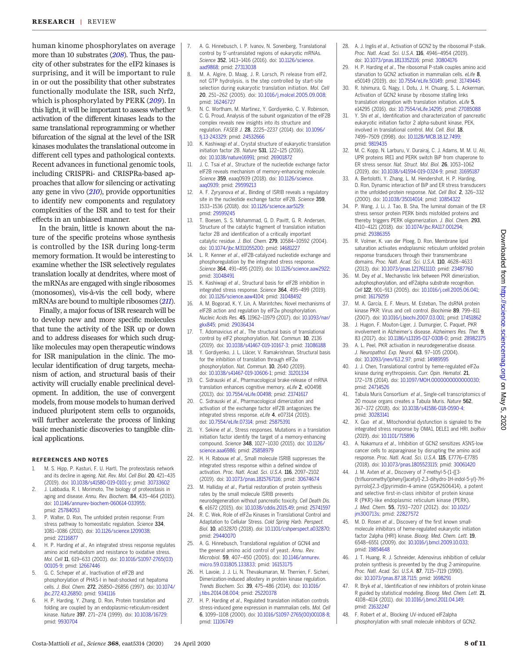<span id="page-8-0"></span>human kinome phosphorylates on average more than 10 substrates ([208](#page-11-0)). Thus, the paucity of other substrates for the eIF2 kinases is surprising, and it will be important to rule in or out the possibility that other substrates functionally modulate the ISR, such Nrf2, which is phosphorylated by PERK ([209](#page-11-0)). In this light, it will be important to assess whether activation of the different kinases leads to the same translational reprogramming or whether bifurcation of the signal at the level of the ISR kinases modulates the translational outcome in different cell types and pathological contexts. Recent advances in functional genomic tools, including CRISPRi- and CRISPRa-based approaches that allow for silencing or activating any gene in vivo ([210](#page-11-0)), provide opportunities to identify new components and regulatory complexities of the ISR and to test for their effects in an unbiased manner.

In the brain, little is known about the nature of the specific proteins whose synthesis is controlled by the ISR during long-term memory formation. It would be interesting to examine whether the ISR selectively regulates translation locally at dendrites, where most of the mRNAs are engaged with single ribosomes (monosomes), vis-à-vis the cell body, where mRNAs are bound to multiple ribosomes ([211](#page-11-0)).

Finally, a major focus of ISR research will be to develop new and more specific molecules that tune the activity of the ISR up or down and to address diseases for which such druglike molecules may open therapeutic windows for ISR manipulation in the clinic. The molecular identification of drug targets, mechanism of action, and structural basis of their activity will crucially enable preclinical development. In addition, the use of convergent models, from mouse models to human derived induced pluripotent stem cells to organoids, will further accelerate the process of linking basic mechanistic discoveries to tangible clinical applications.

#### REFERENCES AND NOTES

- 1. M. S. Hipp, P. Kasturi, F. U. Hartl, The proteostasis network and its decline in ageing. Nat. Rev. Mol. Cell Biol. 20, 421–435 (2019). doi: [10.1038/s41580-019-0101-y](http://dx.doi.org/10.1038/s41580-019-0101-y); pmid: [30733602](http://www.ncbi.nlm.nih.gov/pubmed/30733602)
- 2. J. Labbadia, R. I. Morimoto, The biology of proteostasis in aging and disease. Annu. Rev. Biochem. 84, 435-464 (2015). doi: [10.1146/annurev-biochem-060614-033955;](http://dx.doi.org/10.1146/annurev-biochem-060614-033955) pmid: [25784053](http://www.ncbi.nlm.nih.gov/pubmed/25784053)
- 3. P. Walter, D. Ron, The unfolded protein response: From stress pathway to homeostatic regulation. Science 334, 1081–1086 (2011). doi: [10.1126/science.1209038](http://dx.doi.org/10.1126/science.1209038); pmid: [22116877](http://www.ncbi.nlm.nih.gov/pubmed/22116877)
- 4. H. P. Harding et al., An integrated stress response regulates amino acid metabolism and resistance to oxidative stress. Mol. Cell 11, 619–633 (2003). doi: [10.1016/S1097-2765\(03\)](http://dx.doi.org/10.1016/S1097-2765(03)00105-9) [00105-9;](http://dx.doi.org/10.1016/S1097-2765(03)00105-9) pmid: [12667446](http://www.ncbi.nlm.nih.gov/pubmed/12667446)
- 5. G. C. Scheper et al., Inactivation of eIF2B and phosphorylation of PHAS-I in heat-shocked rat hepatoma cells. J. Biol. Chem. 272, 26850–26856 (1997). doi: [10.1074/](http://dx.doi.org/10.1074/jbc.272.43.26850) [jbc.272.43.26850](http://dx.doi.org/10.1074/jbc.272.43.26850); pmid: [9341116](http://www.ncbi.nlm.nih.gov/pubmed/9341116)
- 6. H. P. Harding, Y. Zhang, D. Ron, Protein translation and folding are coupled by an endoplasmic-reticulum-resident kinase. Nature 397, 271–274 (1999). doi: [10.1038/16729;](http://dx.doi.org/10.1038/16729) pmid: [9930704](http://www.ncbi.nlm.nih.gov/pubmed/9930704)
- 7. A. G. Hinnebusch, I. P. Ivanov, N. Sonenberg, Translational control by 5′-untranslated regions of eukaryotic mRNAs. Science 352, 1413–1416 (2016). doi: [10.1126/science.](http://dx.doi.org/10.1126/science.aad9868) [aad9868](http://dx.doi.org/10.1126/science.aad9868); pmid: [27313038](http://www.ncbi.nlm.nih.gov/pubmed/27313038)
- 8. M. A. Algire, D. Maag, J. R. Lorsch, Pi release from eIF2, not GTP hydrolysis, is the step controlled by start-site selection during eukaryotic translation initiation. Mol. Cell 20, 251–262 (2005). doi: [10.1016/j.molcel.2005.09.008](http://dx.doi.org/10.1016/j.molcel.2005.09.008); pmid: [16246727](http://www.ncbi.nlm.nih.gov/pubmed/16246727)
- 9. N. C. Wortham, M. Martinez, Y. Gordiyenko, C. V. Robinson, C. G. Proud, Analysis of the subunit organization of the eIF2B complex reveals new insights into its structure and regulation. FASEB J. 28, 2225–2237 (2014). doi: [10.1096/](http://dx.doi.org/10.1096/fj.13-243329) [fj.13-243329](http://dx.doi.org/10.1096/fj.13-243329); pmid: [24532666](http://www.ncbi.nlm.nih.gov/pubmed/24532666)
- 10. K. Kashiwagi et al., Crystal structure of eukaryotic translation initiation factor 2B. Nature 531, 122–125 (2016). doi: [10.1038/nature16991;](http://dx.doi.org/10.1038/nature16991) pmid: [26901872](http://www.ncbi.nlm.nih.gov/pubmed/26901872)
- 11. J. C. Tsai et al., Structure of the nucleotide exchange factor eIF2B reveals mechanism of memory-enhancing molecule. Science 359, eaaq0939 (2018). doi: [10.1126/science.](http://dx.doi.org/10.1126/science.aaq0939) [aaq0939;](http://dx.doi.org/10.1126/science.aaq0939) pmid: [29599213](http://www.ncbi.nlm.nih.gov/pubmed/29599213)
- 12. A. F. Zyryanova et al., Binding of ISRIB reveals a regulatory site in the nucleotide exchange factor eIF2B. Science 359, 1533–1536 (2018). doi: [10.1126/science.aar5129;](http://dx.doi.org/10.1126/science.aar5129) pmid: [29599245](http://www.ncbi.nlm.nih.gov/pubmed/29599245)
- 13. T. Boesen, S. S. Mohammad, G. D. Pavitt, G. R. Andersen, Structure of the catalytic fragment of translation initiation factor 2B and identification of a critically important catalytic residue. J. Biol. Chem. 279, 10584–10592 (2004). doi: [10.1074/jbc.M311055200;](http://dx.doi.org/10.1074/jbc.M311055200) pmid: [14681227](http://www.ncbi.nlm.nih.gov/pubmed/14681227)
- 14. L. R. Kenner et al., eIF2B-catalyzed nucleotide exchange and phosphoregulation by the integrated stress response. Science 364, 491–495 (2019). doi: [10.1126/science.aaw2922;](http://dx.doi.org/10.1126/science.aaw2922) pmid: [31048491](http://www.ncbi.nlm.nih.gov/pubmed/31048491)
- 15. K. Kashiwagi et al., Structural basis for eIF2B inhibition in integrated stress response. Science 364, 495–499 (2019). doi: [10.1126/science.aaw4104;](http://dx.doi.org/10.1126/science.aaw4104) pmid: [31048492](http://www.ncbi.nlm.nih.gov/pubmed/31048492)
- 16. A. M. Bogorad, K. Y. Lin, A. Marintchev, Novel mechanisms of eIF2B action and regulation by eIF2 $\alpha$  phosphorylation. Nucleic Acids Res. 45, 11962–11979 (2017). doi: [10.1093/nar/](http://dx.doi.org/10.1093/nar/gkx845) [gkx845;](http://dx.doi.org/10.1093/nar/gkx845) pmid: [29036434](http://www.ncbi.nlm.nih.gov/pubmed/29036434)
- 17. T. Adomavicius et al., The structural basis of translational control by eIF2 phosphorylation. Nat. Commun. 10, 2136 (2019). doi: [10.1038/s41467-019-10167-3;](http://dx.doi.org/10.1038/s41467-019-10167-3) pmid: [31086188](http://www.ncbi.nlm.nih.gov/pubmed/31086188)
- 18. Y. Gordiyenko, J. L. Llácer, V. Ramakrishnan, Structural basis for the inhibition of translation through eIF2 $\alpha$ phosphorylation. Nat. Commun. 10, 2640 (2019). doi: [10.1038/s41467-019-10606-1](http://dx.doi.org/10.1038/s41467-019-10606-1); pmid: [31201334](http://www.ncbi.nlm.nih.gov/pubmed/31201334)
- 19. C. Sidrauski et al., Pharmacological brake-release of mRNA translation enhances cognitive memory. eLife 2, e00498 (2013). doi: [10.7554/eLife.00498;](http://dx.doi.org/10.7554/eLife.00498) pmid: [23741617](http://www.ncbi.nlm.nih.gov/pubmed/23741617)
- 20. C. Sidrauski et al., Pharmacological dimerization and activation of the exchange factor eIF2B antagonizes the integrated stress response. eLife 4, e07314 (2015). doi: [10.7554/eLife.07314;](http://dx.doi.org/10.7554/eLife.07314) pmid: [25875391](http://www.ncbi.nlm.nih.gov/pubmed/25875391)
- 21. Y. Sekine et al., Stress responses. Mutations in a translation initiation factor identify the target of a memory-enhancing compound. Science 348, 1027–1030 (2015). doi: [10.1126/](http://dx.doi.org/10.1126/science.aaa6986) [science.aaa6986;](http://dx.doi.org/10.1126/science.aaa6986) pmid: [25858979](http://www.ncbi.nlm.nih.gov/pubmed/25858979)
- 22. H. H. Rabouw et al., Small molecule ISRIB suppresses the integrated stress response within a defined window of activation. Proc. Natl. Acad. Sci. U.S.A. 116, 2097–2102 (2019). doi: [10.1073/pnas.1815767116;](http://dx.doi.org/10.1073/pnas.1815767116) pmid: [30674674](http://www.ncbi.nlm.nih.gov/pubmed/30674674)
- 23. M. Halliday et al., Partial restoration of protein synthesis rates by the small molecule ISRIB prevents neurodegeneration without pancreatic toxicity. Cell Death Dis. 6, e1672 (2015). doi: [10.1038/cddis.2015.49;](http://dx.doi.org/10.1038/cddis.2015.49) pmid: [25741597](http://www.ncbi.nlm.nih.gov/pubmed/25741597)
- 24. R. C. Wek, Role of eIF2 $\alpha$  Kinases in Translational Control and Adaptation to Cellular Stress. Cold Spring Harb. Perspect. Biol. 10, a032870 (2018). doi: [10.1101/cshperspect.a032870;](http://dx.doi.org/10.1101/cshperspect.a032870) pmid: [29440070](http://www.ncbi.nlm.nih.gov/pubmed/29440070)
- A. G. Hinnebusch, Translational regulation of GCN4 and the general amino acid control of yeast. Annu. Rev. Microbiol. 59, 407–450 (2005). doi: [10.1146/annurev.](http://dx.doi.org/10.1146/annurev.micro.59.031805.133833) [micro.59.031805.133833](http://dx.doi.org/10.1146/annurev.micro.59.031805.133833); pmid: [16153175](http://www.ncbi.nlm.nih.gov/pubmed/16153175)
- 26. H. Lavoie, J. J. Li, N. Thevakumaran, M. Therrien, F. Sicheri, Dimerization-induced allostery in protein kinase regulation. Trends Biochem. Sci. 39, 475–486 (2014). doi: [10.1016/](http://dx.doi.org/10.1016/j.tibs.2014.08.004) [j.tibs.2014.08.004](http://dx.doi.org/10.1016/j.tibs.2014.08.004); pmid: [25220378](http://www.ncbi.nlm.nih.gov/pubmed/25220378)
- H. P. Harding et al., Regulated translation initiation controls stress-induced gene expression in mammalian cells. Mol. Cell 6, 1099–1108 (2000). doi: [10.1016/S1097-2765\(00\)00108-8;](http://dx.doi.org/10.1016/S1097-2765(00)00108-8) pmid: [11106749](http://www.ncbi.nlm.nih.gov/pubmed/11106749)
- 28. A. J. Inglis et al., Activation of GCN2 by the ribosomal P-stalk. Proc. Natl. Acad. Sci. U.S.A. 116, 4946–4954 (2019). doi: [10.1073/pnas.1813352116;](http://dx.doi.org/10.1073/pnas.1813352116) pmid: [30804176](http://www.ncbi.nlm.nih.gov/pubmed/30804176)
- 29. H. P. Harding et al., The ribosomal P-stalk couples amino acid starvation to GCN2 activation in mammalian cells, eLife 8, e50149 (2019). doi: [10.7554/eLife.50149;](http://dx.doi.org/10.7554/eLife.50149) pmid: [31749445](http://www.ncbi.nlm.nih.gov/pubmed/31749445)
- 30. R. Ishimura, G. Nagy, I. Dotu, J. H. Chuang, S. L. Ackerman, Activation of GCN2 kinase by ribosome stalling links translation elongation with translation initiation. eLife 5, e14295 (2016). doi: [10.7554/eLife.14295;](http://dx.doi.org/10.7554/eLife.14295) pmid: [27085088](http://www.ncbi.nlm.nih.gov/pubmed/27085088)
- 31. Y. Shi et al., Identification and characterization of pancreatic eukaryotic initiation factor 2 alpha-subunit kinase, PEK, involved in translational control. Mol. Cell. Biol. 18, 7499–7509 (1998). doi: [10.1128/MCB.18.12.7499;](http://dx.doi.org/10.1128/MCB.18.12.7499) pmid: [9819435](http://www.ncbi.nlm.nih.gov/pubmed/9819435)
- 32. M. C. Kopp, N. Larburu, V. Durairaj, C. J. Adams, M. M. U. Ali, UPR proteins IRE1 and PERK switch BiP from chaperone to ER stress sensor. Nat. Struct. Mol. Biol. 26, 1053–1062 (2019). doi: [10.1038/s41594-019-0324-9;](http://dx.doi.org/10.1038/s41594-019-0324-9) pmid: [31695187](http://www.ncbi.nlm.nih.gov/pubmed/31695187)
- 33. A. Bertolotti, Y. Zhang, L. M. Hendershot, H. P. Harding, D. Ron, Dynamic interaction of BiP and ER stress transducers in the unfolded-protein response. Nat. Cell Biol. 2, 326–332 (2000). doi: [10.1038/35014014](http://dx.doi.org/10.1038/35014014); pmid: [10854322](http://www.ncbi.nlm.nih.gov/pubmed/10854322)
- 34. P. Wang, J. Li, J. Tao, B. Sha, The luminal domain of the ER stress sensor protein PERK binds misfolded proteins and thereby triggers PERK oligomerization. J. Biol. Chem. 293, 4110–4121 (2018). doi: [10.1074/jbc.RA117.001294;](http://dx.doi.org/10.1074/jbc.RA117.001294) pmid: [29386355](http://www.ncbi.nlm.nih.gov/pubmed/29386355)
- 35. R. Volmer, K. van der Ploeg, D. Ron, Membrane lipid saturation activates endoplasmic reticulum unfolded protein response transducers through their transmembrane domains. Proc. Natl. Acad. Sci. U.S.A. 110, 4628–4633 (2013). doi: [10.1073/pnas.1217611110;](http://dx.doi.org/10.1073/pnas.1217611110) pmid: [23487760](http://www.ncbi.nlm.nih.gov/pubmed/23487760)
- 36. M. Dey et al., Mechanistic link between PKR dimerization, autophosphorylation, and eIF2alpha substrate recognition. Cell 122, 901–913 (2005). doi: [10.1016/j.cell.2005.06.041;](http://dx.doi.org/10.1016/j.cell.2005.06.041) pmid: [16179259](http://www.ncbi.nlm.nih.gov/pubmed/16179259)
- 37. M. A. García, E. F. Meurs, M. Esteban, The dsRNA protein kinase PKR: Virus and cell control. Biochimie 89, 799–811 (2007). doi: [10.1016/j.biochi.2007.03.001;](http://dx.doi.org/10.1016/j.biochi.2007.03.001) pmid: [17451862](http://www.ncbi.nlm.nih.gov/pubmed/17451862)
- 38. J. Hugon, F. Mouton-Liger, J. Dumurgier, C. Paquet, PKR involvement in Alzheimer's disease. Alzheimers Res. Ther. 9, 83 (2017). doi: [10.1186/s13195-017-0308-0;](http://dx.doi.org/10.1186/s13195-017-0308-0) pmid: [28982375](http://www.ncbi.nlm.nih.gov/pubmed/28982375)
- 39. A. L. Peel, PKR activation in neurodegenerative disease. J. Neuropathol. Exp. Neurol. 63, 97–105 (2004). doi: [10.1093/jnen/63.2.97](http://dx.doi.org/10.1093/jnen/63.2.97); pmid: [14989595](http://www.ncbi.nlm.nih.gov/pubmed/14989595)
- 40. J. J. Chen, Translational control by heme-regulated eIF2 $\alpha$ kinase during erythropoiesis. Curr. Opin. Hematol. 21, 172–178 (2014). doi: [10.1097/MOH.0000000000000030](http://dx.doi.org/10.1097/MOH.0000000000000030); pmid: [24714526](http://www.ncbi.nlm.nih.gov/pubmed/24714526)
- Tabula Muris Consortium et al., Single-cell transcriptomics of 20 mouse organs creates a Tabula Muris. Nature 562, 367–372 (2018). doi: [10.1038/s41586-018-0590-4;](http://dx.doi.org/10.1038/s41586-018-0590-4) pmid: [30283141](http://www.ncbi.nlm.nih.gov/pubmed/30283141)
- 42. X. Guo et al., Mitochondrial dysfunction is signaled to the integrated stress response by OMA1, DELE1 and HRI. bioRxiv (2019). doi: [10.1101/715896](http://dx.doi.org/10.1101/715896)
- 43. A. Nakamura et al., Inhibition of GCN2 sensitizes ASNS-low cancer cells to asparaginase by disrupting the amino acid response. Proc. Natl. Acad. Sci. U.S.A. 115, E7776–E7785 (2018). doi: [10.1073/pnas.1805523115](http://dx.doi.org/10.1073/pnas.1805523115); pmid: [30061420](http://www.ncbi.nlm.nih.gov/pubmed/30061420)
- 44. J. M. Axten et al., Discovery of 7-methyl-5-(1-{[3- (trifluoromethyl)phenyl]acetyl}-2,3-dihydro-1H-indol-5-yl)-7Hpyrrolo[2,3-d]pyrimidin-4-amine (GSK2606414), a potent and selective first-in-class inhibitor of protein kinase R (PKR)-like endoplasmic reticulum kinase (PERK). J. Med. Chem. 55, 7193–7207 (2012). doi: [10.1021/](http://dx.doi.org/10.1021/jm300713s) [jm300713s](http://dx.doi.org/10.1021/jm300713s); pmid: [22827572](http://www.ncbi.nlm.nih.gov/pubmed/22827572)
- 45. M. D. Rosen et al., Discovery of the first known smallmolecule inhibitors of heme-regulated eukaryotic initiation factor 2alpha (HRI) kinase. Bioorg. Med. Chem. Lett. 19, 6548–6551 (2009). doi: [10.1016/j.bmcl.2009.10.033](http://dx.doi.org/10.1016/j.bmcl.2009.10.033); pmid: [19854648](http://www.ncbi.nlm.nih.gov/pubmed/19854648)
- 46. J. T. Huang, R. J. Schneider, Adenovirus inhibition of cellular protein synthesis is prevented by the drug 2-aminopurine. Proc. Natl. Acad. Sci. U.S.A. 87, 7115–7119 (1990). doi: [10.1073/pnas.87.18.7115;](http://dx.doi.org/10.1073/pnas.87.18.7115) pmid: [1698291](http://www.ncbi.nlm.nih.gov/pubmed/1698291)
- R. Bryk et al., Identification of new inhibitors of protein kinase R guided by statistical modeling. Bioorg. Med. Chem. Lett. 21, 4108–4114 (2011). doi: [10.1016/j.bmcl.2011.04.149](http://dx.doi.org/10.1016/j.bmcl.2011.04.149); pmid: [21632247](http://www.ncbi.nlm.nih.gov/pubmed/21632247)
- 48. F. Robert et al., Blocking UV-induced eIF2alpha phosphorylation with small molecule inhibitors of GCN2.

2020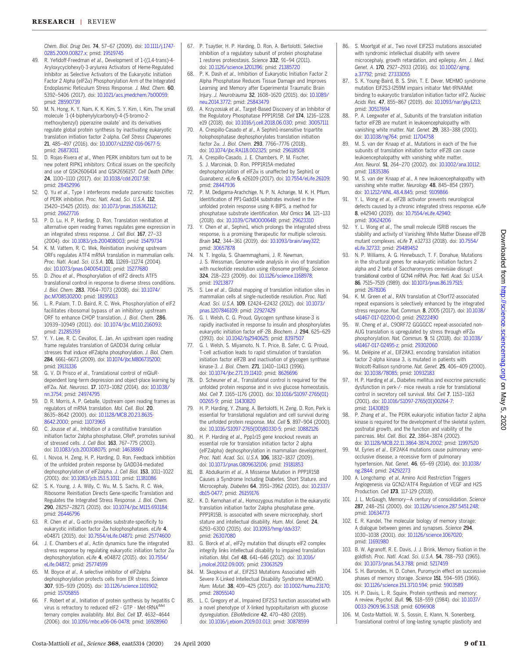<span id="page-9-0"></span>Chem. Biol. Drug Des. 74, 57–67 (2009). doi: [10.1111/j.1747-](http://dx.doi.org/10.1111/j.1747-0285.2009.00827.x) [0285.2009.00827.x](http://dx.doi.org/10.1111/j.1747-0285.2009.00827.x); pmid: [19519745](http://www.ncbi.nlm.nih.gov/pubmed/19519745)

- 49. R. Yefidoff-Freedman et al., Development of 1-((1,4-trans)-4- Aryloxycyclohexyl)-3-arylurea Activators of Heme-Regulated Inhibitor as Selective Activators of the Eukaryotic Initiation Factor 2 Alpha (eIF2 $\alpha$ ) Phosphorylation Arm of the Integrated Endoplasmic Reticulum Stress Response. J. Med. Chem. 60, 5392–5406 (2017). doi: [10.1021/acs.jmedchem.7b00059;](http://dx.doi.org/10.1021/acs.jmedchem.7b00059) pmid: [28590739](http://www.ncbi.nlm.nih.gov/pubmed/28590739)
- 50. M. N. Hong, K. Y. Nam, K. K. Kim, S. Y. Kim, I. Kim, The small molecule '1-(4-biphenylylcarbonyl)-4-(5-bromo-2 methoxybenzyl) piperazine oxalate' and its derivatives regulate global protein synthesis by inactivating eukaryotic translation initiation factor 2-alpha. Cell Stress Chaperones 21, 485–497 (2016). doi: [10.1007/s12192-016-0677-5](http://dx.doi.org/10.1007/s12192-016-0677-5); pmid: [26873011](http://www.ncbi.nlm.nih.gov/pubmed/26873011)
- 51. D. Rojas-Rivera et al., When PERK inhibitors turn out to be new potent RIPK1 inhibitors: Critical issues on the specificity and use of GSK2606414 and GSK2656157. Cell Death Differ. 24, 1100–1110 (2017). doi: [10.1038/cdd.2017.58](http://dx.doi.org/10.1038/cdd.2017.58); pmid: [28452996](http://www.ncbi.nlm.nih.gov/pubmed/28452996)
- 52. Q. Yu et al., Type I interferons mediate pancreatic toxicities of PERK inhibition. Proc. Natl. Acad. Sci. U.S.A. 112, 15420–15425 (2015). doi: [10.1073/pnas.1516362112;](http://dx.doi.org/10.1073/pnas.1516362112) pmid: [26627716](http://www.ncbi.nlm.nih.gov/pubmed/26627716)
- 53. P. D. Lu, H. P. Harding, D. Ron, Translation reinitiation at alternative open reading frames regulates gene expression in an integrated stress response. J. Cell Biol. 167, 27–33 (2004). doi: [10.1083/jcb.200408003;](http://dx.doi.org/10.1083/jcb.200408003) pmid: [15479734](http://www.ncbi.nlm.nih.gov/pubmed/15479734)
- 54. K. M. Vattem, R. C. Wek, Reinitiation involving upstream ORFs regulates ATF4 mRNA translation in mammalian cells. Proc. Natl. Acad. Sci. U.S.A. 101, 11269-11274 (2004). doi: [10.1073/pnas.0400541101;](http://dx.doi.org/10.1073/pnas.0400541101) pmid: [15277680](http://www.ncbi.nlm.nih.gov/pubmed/15277680)
- 55. D. Zhou et al., Phosphorylation of eIF2 directs ATF5 translational control in response to diverse stress conditions. J. Biol. Chem. 283, 7064–7073 (2008). doi: [10.1074/](http://dx.doi.org/10.1074/jbc.M708530200) [jbc.M708530200;](http://dx.doi.org/10.1074/jbc.M708530200) pmid: [18195013](http://www.ncbi.nlm.nih.gov/pubmed/18195013)
- 56. L. R. Palam, T. D. Baird, R. C. Wek, Phosphorylation of eIF2 facilitates ribosomal bypass of an inhibitory upstream ORF to enhance CHOP translation. J. Biol. Chem. 286, 10939–10949 (2011). doi: [10.1074/jbc.M110.216093](http://dx.doi.org/10.1074/jbc.M110.216093); pmid: [21285359](http://www.ncbi.nlm.nih.gov/pubmed/21285359)
- 57. Y. Y. Lee, R. C. Cevallos, E. Jan, An upstream open reading frame regulates translation of GADD34 during cellular stresses that induce eIF2alpha phosphorylation. J. Biol. Chem. 284, 6661–6673 (2009). doi: [10.1074/jbc.M806735200](http://dx.doi.org/10.1074/jbc.M806735200); pmid: [19131336](http://www.ncbi.nlm.nih.gov/pubmed/19131336)
- 58. G. V. Di Prisco et al., Translational control of mGluRdependent long-term depression and object-place learning by eIF2α. Nat. Neurosci. 17, 1073-1082 (2014). doi: 10.1038. [nn.3754;](http://dx.doi.org/10.1038/nn.3754) pmid: [24974795](http://www.ncbi.nlm.nih.gov/pubmed/24974795)
- 59. D. R. Morris, A. P. Geballe, Upstream open reading frames as regulators of mRNA translation. Mol. Cell. Biol. 20, 8635–8642 (2000). doi: [10.1128/MCB.20.23.8635-](http://dx.doi.org/10.1128/MCB.20.23.8635-8642.2000) [8642.2000](http://dx.doi.org/10.1128/MCB.20.23.8635-8642.2000); pmid: [11073965](http://www.ncbi.nlm.nih.gov/pubmed/11073965)
- 60. C. Jousse et al., Inhibition of a constitutive translation initiation factor 2alpha phosphatase, CReP, promotes survival of stressed cells. J. Cell Biol. 163, 767–775 (2003). doi: [10.1083/jcb.200308075](http://dx.doi.org/10.1083/jcb.200308075); pmid: [14638860](http://www.ncbi.nlm.nih.gov/pubmed/14638860)
- 61. I. Novoa, H. Zeng, H. P. Harding, D. Ron, Feedback inhibition of the unfolded protein response by GADD34-mediated dephosphorylation of eIF2alpha. J. Cell Biol. 153, 1011–1022 (2001). doi: [10.1083/jcb.153.5.1011](http://dx.doi.org/10.1083/jcb.153.5.1011); pmid: [11381086](http://www.ncbi.nlm.nih.gov/pubmed/11381086)
- 62. S. K. Young, J. A. Willy, C. Wu, M. S. Sachs, R. C. Wek, Ribosome Reinitiation Directs Gene-specific Translation and Regulates the Integrated Stress Response. J. Biol. Chem. 290, 28257–28271 (2015). doi: [10.1074/jbc.M115.693184;](http://dx.doi.org/10.1074/jbc.M115.693184) pmid: [26446796](http://www.ncbi.nlm.nih.gov/pubmed/26446796)
- 63. R. Chen et al., G-actin provides substrate-specificity to eukaryotic initiation factor  $2\alpha$  holophosphatases. eLife 4, e04871 (2015). doi: [10.7554/eLife.04871](http://dx.doi.org/10.7554/eLife.04871); pmid: [25774600](http://www.ncbi.nlm.nih.gov/pubmed/25774600)
- 64. J. E. Chambers et al., Actin dynamics tune the integrated stress response by regulating eukaryotic initiation factor  $2\alpha$ dephosphorylation. eLife 4, e04872 (2015). doi: [10.7554/](http://dx.doi.org/10.7554/eLife.04872) [eLife.04872;](http://dx.doi.org/10.7554/eLife.04872) pmid: [25774599](http://www.ncbi.nlm.nih.gov/pubmed/25774599)
- 65. M. Boyce et al., A selective inhibitor of eIF2alpha dephosphorylation protects cells from ER stress. Science 307, 935–939 (2005). doi: [10.1126/science.1101902](http://dx.doi.org/10.1126/science.1101902); pmid: [15705855](http://www.ncbi.nlm.nih.gov/pubmed/15705855)
- 66. F. Robert et al., Initiation of protein synthesis by hepatitis C virus is refractory to reduced eIF2 · GTP · Met-tRNAiMet ternary complex availability. Mol. Biol. Cell 17, 4632–4644 (2006). doi: [10.1091/mbc.e06-06-0478](http://dx.doi.org/10.1091/mbc.e06-06-0478); pmid: [16928960](http://www.ncbi.nlm.nih.gov/pubmed/16928960)
- 67. P. Tsaytler, H. P. Harding, D. Ron, A. Bertolotti, Selective inhibition of a regulatory subunit of protein phosphatase 1 restores proteostasis. Science 332, 91–94 (2011). doi: [10.1126/science.1201396;](http://dx.doi.org/10.1126/science.1201396) pmid: [21385720](http://www.ncbi.nlm.nih.gov/pubmed/21385720)
- 68. P. K. Dash et al., Inhibition of Eukaryotic Initiation Factor 2 Alpha Phosphatase Reduces Tissue Damage and Improves Learning and Memory after Experimental Traumatic Brain Injury. J. Neurotrauma 32, 1608–1620 (2015). doi: [10.1089/](http://dx.doi.org/10.1089/neu.2014.3772) [neu.2014.3772](http://dx.doi.org/10.1089/neu.2014.3772); pmid: [25843479](http://www.ncbi.nlm.nih.gov/pubmed/25843479)
- 69. A. Krzyzosiak et al., Target-Based Discovery of an Inhibitor of the Regulatory Phosphatase PPP1R15B. Cell 174, 1216–1228. e19 (2018). doi: [10.1016/j.cell.2018.06.030;](http://dx.doi.org/10.1016/j.cell.2018.06.030) pmid: [30057111](http://www.ncbi.nlm.nih.gov/pubmed/30057111)
- 70. A. Crespillo-Casado et al., A Sephin1-insensitive tripartite holophosphatase dephosphorylates translation initiation factor  $2\alpha$ . J. Biol. Chem. 293, 7766-7776 (2018). doi: [10.1074/jbc.RA118.002325](http://dx.doi.org/10.1074/jbc.RA118.002325); pmid: [29618508](http://www.ncbi.nlm.nih.gov/pubmed/29618508)
- 71. A. Crespillo-Casado, J. E. Chambers, P. M. Fischer, S. J. Marciniak, D. Ron, PPP1R15A-mediated dephosphorylation of eIF2 $\alpha$  is unaffected by Sephin1 or Guanabenz. eLife 6, e26109 (2017). doi: [10.7554/eLife.26109;](http://dx.doi.org/10.7554/eLife.26109) pmid: [28447936](http://www.ncbi.nlm.nih.gov/pubmed/28447936)
- 72. P. M. Dedigama-Arachchige, N. P. N. Acharige, M. K. H. Pflum, Identification of PP1-Gadd34 substrates involved in the unfolded protein response using K-BIPS, a method for phosphatase substrate identification. Mol Omics 14, 121–133 (2018). doi: [10.1039/C7MO00064B](http://dx.doi.org/10.1039/C7MO00064B); pmid: [29623310](http://www.ncbi.nlm.nih.gov/pubmed/29623310)
- 73. Y. Chen et al., Sephin1, which prolongs the integrated stress response, is a promising therapeutic for multiple sclerosis. Brain 142, 344–361 (2019). doi: [10.1093/brain/awy322](http://dx.doi.org/10.1093/brain/awy322); pmid: [30657878](http://www.ncbi.nlm.nih.gov/pubmed/30657878)
- 74. N. T. Ingolia, S. Ghaemmaghami, J. R. Newman, J. S. Weissman, Genome-wide analysis in vivo of translation with nucleotide resolution using ribosome profiling. Science 324, 218–223 (2009). doi: [10.1126/science.1168978;](http://dx.doi.org/10.1126/science.1168978) pmid: [19213877](http://www.ncbi.nlm.nih.gov/pubmed/19213877)
- 75. S. Lee et al., Global mapping of translation initiation sites in mammalian cells at single-nucleotide resolution. Proc. Natl. Acad. Sci. U.S.A. 109, E2424–E2432 (2012). doi: [10.1073/](http://dx.doi.org/10.1073/pnas.1207846109) [pnas.1207846109](http://dx.doi.org/10.1073/pnas.1207846109); pmid: [22927429](http://www.ncbi.nlm.nih.gov/pubmed/22927429)
- 76. G. I. Welsh, C. G. Proud, Glycogen synthase kinase-3 is rapidly inactivated in response to insulin and phosphorylates eukaryotic initiation factor eIF-2B. Biochem. J. 294, 625–629 (1993). doi: [10.1042/bj2940625;](http://dx.doi.org/10.1042/bj2940625) pmid: [8397507](http://www.ncbi.nlm.nih.gov/pubmed/8397507)
- 77. G. I. Welsh, S. Miyamoto, N. T. Price, B. Safer, C. G. Proud, T-cell activation leads to rapid stimulation of translation initiation factor eIF2B and inactivation of glycogen synthase kinase-3. J. Biol. Chem. 271, 11410-11413 (1996). doi: [10.1074/jbc.271.19.11410;](http://dx.doi.org/10.1074/jbc.271.19.11410) pmid: [8626696](http://www.ncbi.nlm.nih.gov/pubmed/8626696)
- 78. D. Scheuner et al., Translational control is required for the unfolded protein response and in vivo glucose homeostasis. Mol. Cell 7, 1165–1176 (2001). doi: [10.1016/S1097-2765\(01\)](http://dx.doi.org/10.1016/S1097-2765(01)00265-9) [00265-9](http://dx.doi.org/10.1016/S1097-2765(01)00265-9); pmid: [11430820](http://www.ncbi.nlm.nih.gov/pubmed/11430820)
- 79. H. P. Harding, Y. Zhang, A. Bertolotti, H. Zeng, D. Ron, Perk is essential for translational regulation and cell survival during the unfolded protein response. Mol. Cell 5, 897–904 (2000). doi: [10.1016/S1097-2765\(00\)80330-5](http://dx.doi.org/10.1016/S1097-2765(00)80330-5); pmid: [10882126](http://www.ncbi.nlm.nih.gov/pubmed/10882126)
- 80. H. P. Harding et al., Ppp1r15 gene knockout reveals an essential role for translation initiation factor 2 alpha (eIF2alpha) dephosphorylation in mammalian development. Proc. Natl. Acad. Sci. U.S.A. 106, 1832–1837 (2009). doi: [10.1073/pnas.0809632106;](http://dx.doi.org/10.1073/pnas.0809632106) pmid: [19181853](http://www.ncbi.nlm.nih.gov/pubmed/19181853)
- 81. B. Abdulkarim et al., A Missense Mutation in PPP1R15B Causes a Syndrome Including Diabetes, Short Stature, and Microcephaly. Diabetes 64, 3951–3962 (2015). doi: [10.2337/](http://dx.doi.org/10.2337/db15-0477) [db15-0477;](http://dx.doi.org/10.2337/db15-0477) pmid: [26159176](http://www.ncbi.nlm.nih.gov/pubmed/26159176)
- 82. K. D. Kernohan et al., Homozygous mutation in the eukaryotic translation initiation factor 2alpha phosphatase gene, PPP1R15B, is associated with severe microcephaly, short stature and intellectual disability. Hum. Mol. Genet. 24, 6293–6300 (2015). doi: [10.1093/hmg/ddv337](http://dx.doi.org/10.1093/hmg/ddv337); pmid: [26307080](http://www.ncbi.nlm.nih.gov/pubmed/26307080)
- 83. G. Borck et al., eIF2y mutation that disrupts eIF2 complex integrity links intellectual disability to impaired translation initiation. Mol. Cell 48, 641–646 (2012). doi: [10.1016/](http://dx.doi.org/10.1016/j.molcel.2012.09.005) [j.molcel.2012.09.005](http://dx.doi.org/10.1016/j.molcel.2012.09.005); pmid: [23063529](http://www.ncbi.nlm.nih.gov/pubmed/23063529)
- 84. M. Skopkova et al., EIF2S3 Mutations Associated with Severe X-Linked Intellectual Disability Syndrome MEHMO. Hum. Mutat. 38, 409–425 (2017). doi: [10.1002/humu.23170;](http://dx.doi.org/10.1002/humu.23170) pmid: [28055140](http://www.ncbi.nlm.nih.gov/pubmed/28055140)
- 85. L. C. Gregory et al., Impaired EIF2S3 function associated with a novel phenotype of X-linked hypopituitarism with glucose dysregulation. EBioMedicine 42, 470–480 (2019). doi: [10.1016/j.ebiom.2019.03.013](http://dx.doi.org/10.1016/j.ebiom.2019.03.013); pmid: [30878599](http://www.ncbi.nlm.nih.gov/pubmed/30878599)
- 86. S. Moortgat et al., Two novel EIF2S3 mutations associated with syndromic intellectual disability with severe microcephaly, growth retardation, and epilepsy. Am. J. Med. Genet. A. 170, 2927–2933 (2016). doi: [10.1002/ajmg.](http://dx.doi.org/10.1002/ajmg.a.37792) [a.37792](http://dx.doi.org/10.1002/ajmg.a.37792); pmid: [27333055](http://www.ncbi.nlm.nih.gov/pubmed/27333055)
- S. K. Young-Baird, B. S. Shin, T. E. Dever, MEHMO syndrome mutation EIF2S3-I259M impairs initiator Met-tRNAiMet binding to eukaryotic translation initiation factor eIF2. Nucleic Acids Res. 47, 855–867 (2019). doi: [10.1093/nar/gky1213;](http://dx.doi.org/10.1093/nar/gky1213) pmid: [30517694](http://www.ncbi.nlm.nih.gov/pubmed/30517694)
- 88. P. A. Leegwater et al., Subunits of the translation initiation factor eIF2B are mutant in leukoencephalopathy with vanishing white matter. Nat. Genet. 29, 383-388 (2001). doi: [10.1038/ng764](http://dx.doi.org/10.1038/ng764); pmid: [11704758](http://www.ncbi.nlm.nih.gov/pubmed/11704758)
- M. S. van der Knaap et al., Mutations in each of the five subunits of translation initiation factor eIF2B can cause leukoencephalopathy with vanishing white matter. Ann. Neurol. 51, 264–270 (2002). doi: [10.1002/ana.10112;](http://dx.doi.org/10.1002/ana.10112) pmid: [11835386](http://www.ncbi.nlm.nih.gov/pubmed/11835386)
- 90. M. S. van der Knaap et al., A new leukoencephalopathy with vanishing white matter. Neurology 48, 845-854 (1997). doi: [10.1212/WNL.48.4.845](http://dx.doi.org/10.1212/WNL.48.4.845); pmid: [9109866](http://www.ncbi.nlm.nih.gov/pubmed/9109866)
- 91. Y. L. Wong et al., eIF2B activator prevents neurological defects caused by a chronic integrated stress response. eLife 8, e42940 (2019). doi: [10.7554/eLife.42940](http://dx.doi.org/10.7554/eLife.42940); pmid: [30624206](http://www.ncbi.nlm.nih.gov/pubmed/30624206)
- Y. L. Wong et al., The small molecule ISRIB rescues the stability and activity of Vanishing White Matter Disease eIF2B mutant complexes. eLife 7, e32733 (2018). doi: [10.7554/](http://dx.doi.org/10.7554/eLife.32733) [eLife.32733](http://dx.doi.org/10.7554/eLife.32733); pmid: [29489452](http://www.ncbi.nlm.nih.gov/pubmed/29489452)
- 93. N. P. Williams, A. G. Hinnebusch, T. F. Donahue, Mutations in the structural genes for eukaryotic initiation factors 2 alpha and 2 beta of Saccharomyces cerevisiae disrupt translational control of GCN4 mRNA. Proc. Natl. Acad. Sci. U.S.A. 86, 7515–7519 (1989). doi: [10.1073/pnas.86.19.7515;](http://dx.doi.org/10.1073/pnas.86.19.7515) pmid: [2678106](http://www.ncbi.nlm.nih.gov/pubmed/2678106)
- 94. K. M. Green et al., RAN translation at C9orf72-associated repeat expansions is selectively enhanced by the integrated stress response. Nat. Commun. 8, 2005 (2017). doi: [10.1038/](http://dx.doi.org/10.1038/s41467-017-02200-0) [s41467-017-02200-0](http://dx.doi.org/10.1038/s41467-017-02200-0); pmid: [29222490](http://www.ncbi.nlm.nih.gov/pubmed/29222490)
- 95. W. Cheng et al., C9ORF72 GGGGCC repeat-associated non-AUG translation is upregulated by stress through eIF2 $\alpha$ phosphorylation. Nat. Commun. 9, 51 (2018). doi: [10.1038/](http://dx.doi.org/10.1038/s41467-017-02495-z) [s41467-017-02495-z;](http://dx.doi.org/10.1038/s41467-017-02495-z) pmid: [29302060](http://www.ncbi.nlm.nih.gov/pubmed/29302060)
- 96. M. Delépine et al., EIF2AK3, encoding translation initiation factor 2-alpha kinase 3, is mutated in patients with Wolcott-Rallison syndrome. Nat. Genet. 25, 406–409 (2000). doi: [10.1038/78085;](http://dx.doi.org/10.1038/78085) pmid: [10932183](http://www.ncbi.nlm.nih.gov/pubmed/10932183)
- H. P. Harding et al., Diabetes mellitus and exocrine pancreatic dysfunction in perk-/- mice reveals a role for translational control in secretory cell survival. Mol. Cell 7, 1153–1163 (2001). doi: [10.1016/S1097-2765\(01\)00264-7](http://dx.doi.org/10.1016/S1097-2765(01)00264-7); pmid: [11430819](http://www.ncbi.nlm.nih.gov/pubmed/11430819)
- 98. P. Zhang et al., The PERK eukaryotic initiation factor 2 alpha kinase is required for the development of the skeletal system, postnatal growth, and the function and viability of the pancreas. Mol. Cell. Biol. 22, 3864–3874 (2002). doi: [10.1128/MCB.22.11.3864-3874.2002](http://dx.doi.org/10.1128/MCB.22.11.3864-3874.2002); pmid: [11997520](http://www.ncbi.nlm.nih.gov/pubmed/11997520)
- 99. M. Eyries et al., EIF2AK4 mutations cause pulmonary venoocclusive disease, a recessive form of pulmonary hypertension. Nat. Genet. 46, 65–69 (2014). doi: [10.1038/](http://dx.doi.org/10.1038/ng.2844) [ng.2844;](http://dx.doi.org/10.1038/ng.2844) pmid: [24292273](http://www.ncbi.nlm.nih.gov/pubmed/24292273)
- 100. A. Longchamp et al, Amino Acid Restriction Triggers Angiogenesis via GCN2/ATF4 Regulation of VEGF and H2S Production. Cell 173, 117-129 (2018).
- 101. J. L. McGaugh, Memory—A century of consolidation. Science 287, 248–251 (2000). doi: [10.1126/science.287.5451.248](http://dx.doi.org/10.1126/science.287.5451.248); pmid: [10634773](http://www.ncbi.nlm.nih.gov/pubmed/10634773)
- 102. E. R. Kandel, The molecular biology of memory storage: A dialogue between genes and synapses. Science 294, 1030–1038 (2001). doi: [10.1126/science.1067020;](http://dx.doi.org/10.1126/science.1067020) pmid: [11691980](http://www.ncbi.nlm.nih.gov/pubmed/11691980)
- 103. B. W. Agranoff, R. E. Davis, J. J. Brink, Memory fixation in the goldfish. Proc. Natl. Acad. Sci. U.S.A. 54, 788–793 (1965). doi: [10.1073/pnas.54.3.788](http://dx.doi.org/10.1073/pnas.54.3.788); pmid: [5217459](http://www.ncbi.nlm.nih.gov/pubmed/5217459)
- 104. S. H. Barondes, H. D. Cohen, Puromycin effect on successive phases of memory storage. Science 151, 594-595 (1966). doi: [10.1126/science.151.3710.594;](http://dx.doi.org/10.1126/science.151.3710.594) pmid: [5903589](http://www.ncbi.nlm.nih.gov/pubmed/5903589)
- 105. H. P. Davis, L. R. Squire, Protein synthesis and memory: A review. Psychol. Bull. 96, 518–559 (1984). doi: [10.1037/](http://dx.doi.org/10.1037/0033-2909.96.3.518) [0033-2909.96.3.518;](http://dx.doi.org/10.1037/0033-2909.96.3.518) pmid: [6096908](http://www.ncbi.nlm.nih.gov/pubmed/6096908)
- 106. M. Costa-Mattioli, W. S. Sossin, E. Klann, N. Sonenberg, Translational control of long-lasting synaptic plasticity and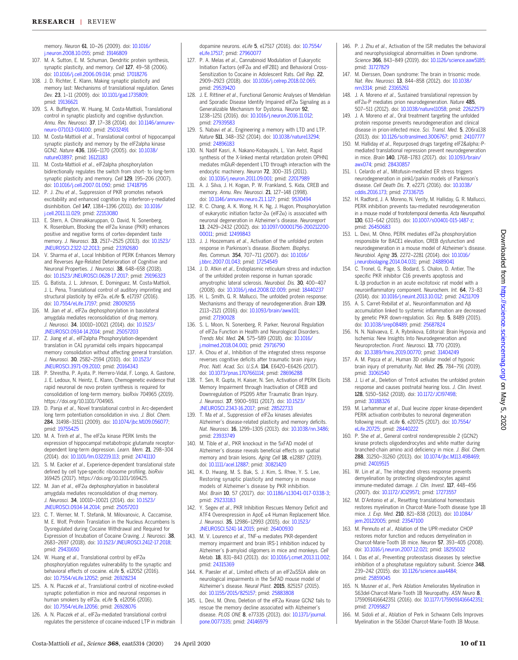<span id="page-10-0"></span>memory. Neuron 61, 10–26 (2009). doi: [10.1016/](http://dx.doi.org/10.1016/j.neuron.2008.10.055) [j.neuron.2008.10.055](http://dx.doi.org/10.1016/j.neuron.2008.10.055); pmid: [19146809](http://www.ncbi.nlm.nih.gov/pubmed/19146809)

- 107. M. A. Sutton, E. M. Schuman, Dendritic protein synthesis, synaptic plasticity, and memory. Cell 127, 49-58 (2006). doi: [10.1016/j.cell.2006.09.014](http://dx.doi.org/10.1016/j.cell.2006.09.014); pmid: [17018276](http://www.ncbi.nlm.nih.gov/pubmed/17018276)
- 108. J. D. Richter, E. Klann, Making synaptic plasticity and memory last: Mechanisms of translational regulation. Genes Dev. 23, 1–11 (2009). doi: [10.1101/gad.1735809;](http://dx.doi.org/10.1101/gad.1735809) pmid: [19136621](http://www.ncbi.nlm.nih.gov/pubmed/19136621)
- 109. S. A. Buffington, W. Huang, M. Costa-Mattioli, Translational control in synaptic plasticity and cognitive dysfunction. Annu. Rev. Neurosci. 37, 17–38 (2014). doi: [10.1146/annurev](http://dx.doi.org/10.1146/annurev-neuro-071013-014100)[neuro-071013-014100](http://dx.doi.org/10.1146/annurev-neuro-071013-014100); pmid: [25032491](http://www.ncbi.nlm.nih.gov/pubmed/25032491)
- 110. M. Costa-Mattioli et al., Translational control of hippocampal synaptic plasticity and memory by the eIF2alpha kinase GCN2. Nature 436, 1166–1170 (2005). doi: [10.1038/](http://dx.doi.org/10.1038/nature03897) [nature03897](http://dx.doi.org/10.1038/nature03897); pmid: [16121183](http://www.ncbi.nlm.nih.gov/pubmed/16121183)
- 111. M. Costa-Mattioli et al., eIF2alpha phosphorylation bidirectionally regulates the switch from short- to long-term synaptic plasticity and memory. Cell 129, 195–206 (2007). doi: [10.1016/j.cell.2007.01.050;](http://dx.doi.org/10.1016/j.cell.2007.01.050) pmid: [17418795](http://www.ncbi.nlm.nih.gov/pubmed/17418795)
- 112. P. J. Zhu et al., Suppression of PKR promotes network excitability and enhanced cognition by interferon-y-mediated disinhibition. Cell 147, 1384–1396 (2011). doi: [10.1016/](http://dx.doi.org/10.1016/j.cell.2011.11.029) [j.cell.2011.11.029](http://dx.doi.org/10.1016/j.cell.2011.11.029); pmid: [22153080](http://www.ncbi.nlm.nih.gov/pubmed/22153080)
- 113. E. Stern, A. Chinnakkaruppan, O. David, N. Sonenberg, K. Rosenblum, Blocking the eIF2 $\alpha$  kinase (PKR) enhances positive and negative forms of cortex-dependent taste memory. J. Neurosci. 33, 2517–2525 (2013). doi: [10.1523/](http://dx.doi.org/10.1523/JNEUROSCI.2322-12.2013) [JNEUROSCI.2322-12.2013;](http://dx.doi.org/10.1523/JNEUROSCI.2322-12.2013) pmid: [23392680](http://www.ncbi.nlm.nih.gov/pubmed/23392680)
- 114. V. Sharma et al., Local Inhibition of PERK Enhances Memory and Reverses Age-Related Deterioration of Cognitive and Neuronal Properties. J. Neurosci. 38, 648–658 (2018). doi: [10.1523/JNEUROSCI.0628-17.2017](http://dx.doi.org/10.1523/JNEUROSCI.0628-17.2017); pmid: [29196323](http://www.ncbi.nlm.nih.gov/pubmed/29196323)
- 115. G. Batista, J. L. Johnson, E. Dominguez, M. Costa-Mattioli, J. L. Pena, Translational control of auditory imprinting and structural plasticity by eIF2 $\alpha$ . eLife 5, e17197 (2016). doi: [10.7554/eLife.17197](http://dx.doi.org/10.7554/eLife.17197); pmid: [28009255](http://www.ncbi.nlm.nih.gov/pubmed/28009255)
- 116. M. Jian et al., eIF2 $\alpha$  dephosphorylation in basolateral amygdala mediates reconsolidation of drug memory. J. Neurosci. 34, 10010–10021 (2014). doi: [10.1523/](http://dx.doi.org/10.1523/JNEUROSCI.0934-14.2014) [JNEUROSCI.0934-14.2014](http://dx.doi.org/10.1523/JNEUROSCI.0934-14.2014); pmid: [25057203](http://www.ncbi.nlm.nih.gov/pubmed/25057203)
- 117. Z. Jiang et al., eIF2alpha Phosphorylation-dependent translation in CA1 pyramidal cells impairs hippocampal memory consolidation without affecting general translation. J. Neurosci. 30, 2582–2594 (2010). doi: [10.1523/](http://dx.doi.org/10.1523/JNEUROSCI.3971-09.2010) [JNEUROSCI.3971-09.2010;](http://dx.doi.org/10.1523/JNEUROSCI.3971-09.2010) pmid: [20164343](http://www.ncbi.nlm.nih.gov/pubmed/20164343)
- 118. P. Shrestha, P. Ayata, P. Herrero-Vidal, F. Longo, A. Gastone, J. E. Ledoux, N. Heintz, E. Klann, Chemogenetic evidence that rapid neuronal de novo protein synthesis is required for consolidation of long-term memory. bioRxiv 704965 (2019). https://doi.org/10.1101/704965.
- 119. D. Panja et al., Novel translational control in Arc-dependent long term potentiation consolidation in vivo. J. Biol. Chem. 284, 31498–31511 (2009). doi: [10.1074/jbc.M109.056077](http://dx.doi.org/10.1074/jbc.M109.056077); pmid: [19755425](http://www.ncbi.nlm.nih.gov/pubmed/19755425)
- 120. M. A. Trinh et al., The eIF2 $\alpha$  kinase PERK limits the expression of hippocampal metabotropic glutamate receptordependent long-term depression. Learn. Mem. 21, 298-304 (2014). doi: [10.1101/lm.032219.113](http://dx.doi.org/10.1101/lm.032219.113); pmid: [24741110](http://www.ncbi.nlm.nih.gov/pubmed/24741110)
- 121. S. M. Eacker et al., Experience-dependent translational state defined by cell type-specific ribosome profiling. bioRxiv 169425 (2017). https://doi.org/10.1101/169425.
- 122. M. Jian et al., eIF2 $\alpha$  dephosphorylation in basolateral amygdala mediates reconsolidation of drug memory. J. Neurosci. 34, 10010–10021 (2014). doi: [10.1523/](http://dx.doi.org/10.1523/JNEUROSCI.0934-14.2014) [JNEUROSCI.0934-14.2014](http://dx.doi.org/10.1523/JNEUROSCI.0934-14.2014); pmid: [25057203](http://www.ncbi.nlm.nih.gov/pubmed/25057203)
- 123. C. T. Werner, M. T. Stefanik, M. Milovanovic, A. Caccamise, M. E. Wolf, Protein Translation in the Nucleus Accumbens Is Dysregulated during Cocaine Withdrawal and Required for Expression of Incubation of Cocaine Craving. J. Neurosci. 38, 2683–2697 (2018). doi: [10.1523/JNEUROSCI.2412-17.2018](http://dx.doi.org/10.1523/JNEUROSCI.2412-17.2018); pmid: [29431650](http://www.ncbi.nlm.nih.gov/pubmed/29431650)
- 124. W. Huang et al., Translational control by eIF2 $\alpha$ phosphorylation regulates vulnerability to the synaptic and behavioral effects of cocaine. eLife 5, e12052 (2016). doi: [10.7554/eLife.12052;](http://dx.doi.org/10.7554/eLife.12052) pmid: [26928234](http://www.ncbi.nlm.nih.gov/pubmed/26928234)
- 125. A. N. Placzek et al. Translational control of nicotine-evoked synaptic potentiation in mice and neuronal responses in human smokers by eIF2 $\alpha$ . eLife 5, e12056 (2016). doi: [10.7554/eLife.12056;](http://dx.doi.org/10.7554/eLife.12056) pmid: [26928076](http://www.ncbi.nlm.nih.gov/pubmed/26928076)
- 126. A. N. Placzek et al., eIF2 $\alpha$ -mediated translational control regulates the persistence of cocaine-induced LTP in midbrain

dopamine neurons. eLife 5, e17517 (2016). doi: [10.7554/](http://dx.doi.org/10.7554/eLife.17517) [eLife.17517;](http://dx.doi.org/10.7554/eLife.17517) pmid: [27960077](http://www.ncbi.nlm.nih.gov/pubmed/27960077)

- 127. P. A. Melas et al., Cannabinoid Modulation of Eukaryotic Initiation Factors (eIF2 $\alpha$  and eIF2B1) and Behavioral Cross-Sensitization to Cocaine in Adolescent Rats. Cell Rep. 22, 2909–2923 (2018). doi: [10.1016/j.celrep.2018.02.065](http://dx.doi.org/10.1016/j.celrep.2018.02.065); pmid: [29539420](http://www.ncbi.nlm.nih.gov/pubmed/29539420)
- 128. J. E. Rittiner et al., Functional Genomic Analyses of Mendelian and Sporadic Disease Identify Impaired eIF2 $\alpha$  Signaling as a Generalizable Mechanism for Dystonia. Neuron 92, 1238–1251 (2016). doi: [10.1016/j.neuron.2016.11.012;](http://dx.doi.org/10.1016/j.neuron.2016.11.012) pmid: [27939583](http://www.ncbi.nlm.nih.gov/pubmed/27939583)
- 129. S. Nabavi et al., Engineering a memory with LTD and LTP. Nature 511, 348–352 (2014). doi: [10.1038/nature13294;](http://dx.doi.org/10.1038/nature13294) pmid: [24896183](http://www.ncbi.nlm.nih.gov/pubmed/24896183)
- 130. N. Nadif Kasri, A. Nakano-Kobayashi, L. Van Aelst, Rapid synthesis of the X-linked mental retardation protein OPHN1 mediates mGluR-dependent LTD through interaction with the endocytic machinery. Neuron 72, 300–315 (2011). doi: [10.1016/j.neuron.2011.09.001;](http://dx.doi.org/10.1016/j.neuron.2011.09.001) pmid: [22017989](http://www.ncbi.nlm.nih.gov/pubmed/22017989)
- 131. A. J. Silva, J. H. Kogan, P. W. Frankland, S. Kida, CREB and memory. Annu. Rev. Neurosci. 21, 127–148 (1998). doi: [10.1146/annurev.neuro.21.1.127](http://dx.doi.org/10.1146/annurev.neuro.21.1.127); pmid: [9530494](http://www.ncbi.nlm.nih.gov/pubmed/9530494)
- 132. R. C. Chang, A. K. Wong, H. K. Ng, J. Hugon, Phosphorylation of eukaryotic initiation factor-2 $\alpha$  (eIF2 $\alpha$ ) is associated with neuronal degeneration in Alzheimer's disease. Neuroreport 13, 2429–2432 (2002). doi: [10.1097/00001756-200212200-](http://dx.doi.org/10.1097/00001756-200212200-00011) [00011;](http://dx.doi.org/10.1097/00001756-200212200-00011) pmid: [12499843](http://www.ncbi.nlm.nih.gov/pubmed/12499843)
- 133. J. J. Hoozemans et al., Activation of the unfolded protein response in Parkinson's disease. Biochem. Biophys. Res. Commun. 354, 707–711 (2007). doi: [10.1016/](http://dx.doi.org/10.1016/j.bbrc.2007.01.043) [j.bbrc.2007.01.043](http://dx.doi.org/10.1016/j.bbrc.2007.01.043); pmid: [17254549](http://www.ncbi.nlm.nih.gov/pubmed/17254549)
- 134. J. D. Atkin et al., Endoplasmic reticulum stress and induction of the unfolded protein response in human sporadic amyotrophic lateral sclerosis. Neurobiol. Dis. 30, 400–407 (2008). doi: [10.1016/j.nbd.2008.02.009;](http://dx.doi.org/10.1016/j.nbd.2008.02.009) pmid: [18440237](http://www.ncbi.nlm.nih.gov/pubmed/18440237)
- 135. H. L. Smith, G. R. Mallucci, The unfolded protein response: Mechanisms and therapy of neurodegeneration. Brain 139, 2113–2121 (2016). doi: [10.1093/brain/aww101](http://dx.doi.org/10.1093/brain/aww101); pmid: [27190028](http://www.ncbi.nlm.nih.gov/pubmed/27190028)
- 136. S. L. Moon, N. Sonenberg, R. Parker, Neuronal Regulation of eIF2 $\alpha$  Function in Health and Neurological Disorders. Trends Mol. Med. 24, 575–589 (2018). doi: [10.1016/](http://dx.doi.org/10.1016/j.molmed.2018.04.001) [j.molmed.2018.04.001](http://dx.doi.org/10.1016/j.molmed.2018.04.001); pmid: [29716790](http://www.ncbi.nlm.nih.gov/pubmed/29716790)
- 137. A. Chou et al., Inhibition of the integrated stress response reverses cognitive deficits after traumatic brain injury. Proc. Natl. Acad. Sci. U.S.A. 114, E6420–E6426 (2017). doi: [10.1073/pnas.1707661114](http://dx.doi.org/10.1073/pnas.1707661114); pmid: [28696288](http://www.ncbi.nlm.nih.gov/pubmed/28696288)
- 138. T. Sen, R. Gupta, H. Kaiser, N. Sen, Activation of PERK Elicits Memory Impairment through Inactivation of CREB and Downregulation of PSD95 After Traumatic Brain Injury. J. Neurosci. 37, 5900–5911 (2017). doi: [10.1523/](http://dx.doi.org/10.1523/JNEUROSCI.2343-16.2017) [JNEUROSCI.2343-16.2017](http://dx.doi.org/10.1523/JNEUROSCI.2343-16.2017); pmid: [28522733](http://www.ncbi.nlm.nih.gov/pubmed/28522733)
- 139. T. Ma et al., Suppression of eIF2 $\alpha$  kinases alleviates Alzheimer's disease-related plasticity and memory deficits. Nat. Neurosci. 16, 1299–1305 (2013). doi: [10.1038/nn.3486](http://dx.doi.org/10.1038/nn.3486); pmid: [23933749](http://www.ncbi.nlm.nih.gov/pubmed/23933749)
- 140. M. Tible et al., PKR knockout in the 5xFAD model of Alzheimer's disease reveals beneficial effects on spatial memory and brain lesions. Aging Cell 18, e12887 (2019). doi: [10.1111/acel.12887;](http://dx.doi.org/10.1111/acel.12887) pmid: [30821420](http://www.ncbi.nlm.nih.gov/pubmed/30821420)
- 141. K. D. Hwang, M. S. Bak, S. J. Kim, S. Rhee, Y. S. Lee, Restoring synaptic plasticity and memory in mouse models of Alzheimer's disease by PKR inhibition. Mol. Brain 10, 57 (2017). doi: [10.1186/s13041-017-0338-3;](http://dx.doi.org/10.1186/s13041-017-0338-3) pmid: [29233183](http://www.ncbi.nlm.nih.gov/pubmed/29233183)
- 142. Y. Segev et al., PKR Inhibition Rescues Memory Deficit and ATF4 Overexpression in ApoE e4 Human Replacement Mice. J. Neurosci. 35, 12986–12993 (2015). doi: [10.1523/](http://dx.doi.org/10.1523/JNEUROSCI.5241-14.2015) [JNEUROSCI.5241-14.2015](http://dx.doi.org/10.1523/JNEUROSCI.5241-14.2015); pmid: [26400930](http://www.ncbi.nlm.nih.gov/pubmed/26400930)
- 143. M. V. Lourenco et al.,  $TNF-\alpha$  mediates PKR-dependent memory impairment and brain IRS-1 inhibition induced by Alzheimer's  $\beta$ -amyloid oligomers in mice and monkeys. Cell Metab. 18, 831–843 (2013). doi: [10.1016/j.cmet.2013.11.002;](http://dx.doi.org/10.1016/j.cmet.2013.11.002) pmid: [24315369](http://www.ncbi.nlm.nih.gov/pubmed/24315369)
- 144. K. Paesler et al., Limited effects of an elF2 $\alpha$ S51A allele on neurological impairments in the 5xFAD mouse model of Alzheimer's disease. Neural Plast. 2015, 825157 (2015). doi: [10.1155/2015/825157;](http://dx.doi.org/10.1155/2015/825157) pmid: [25883808](http://www.ncbi.nlm.nih.gov/pubmed/25883808)
- 145. L. Devi, M. Ohno, Deletion of the eIF2 $\alpha$  Kinase GCN2 fails to rescue the memory decline associated with Alzheimer's disease. PLOS ONE 8, e77335 (2013). doi: [10.1371/journal.](http://dx.doi.org/10.1371/journal.pone.0077335) [pone.0077335](http://dx.doi.org/10.1371/journal.pone.0077335); pmid: [24146979](http://www.ncbi.nlm.nih.gov/pubmed/24146979)
- 146. P. J. Zhu et al., Activation of the ISR mediates the behavioral and neurophysiological abnormalities in Down syndrome. Science 366, 843–849 (2019). doi: [10.1126/science.aaw5185;](http://dx.doi.org/10.1126/science.aaw5185) pmid: [31727829](http://www.ncbi.nlm.nih.gov/pubmed/31727829)
- 147. M. Dierssen, Down syndrome: The brain in trisomic mode. Nat. Rev. Neurosci. 13, 844–858 (2012). doi: [10.1038/](http://dx.doi.org/10.1038/nrn3314) [nrn3314;](http://dx.doi.org/10.1038/nrn3314) pmid: [23165261](http://www.ncbi.nlm.nih.gov/pubmed/23165261)
- 148. J. A. Moreno et al., Sustained translational repression by  $eIF2\alpha$ -P mediates prion neurodegeneration. Nature 485, 507–511 (2012). doi: [10.1038/nature11058;](http://dx.doi.org/10.1038/nature11058) pmid: [22622579](http://www.ncbi.nlm.nih.gov/pubmed/22622579)
- 149. J. A. Moreno et al., Oral treatment targeting the unfolded protein response prevents neurodegeneration and clinical disease in prion-infected mice. Sci. Transl. Med. 5, 206ra138 (2013). doi: [10.1126/scitranslmed.3006767](http://dx.doi.org/10.1126/scitranslmed.3006767); pmid: [24107777](http://www.ncbi.nlm.nih.gov/pubmed/24107777)
- 150. M. Halliday et al., Repurposed drugs targeting eIF2α-Pmediated translational repression prevent neurodegeneration in mice. Brain 140, 1768–1783 (2017). doi: [10.1093/brain/](http://dx.doi.org/10.1093/brain/awx074) [awx074;](http://dx.doi.org/10.1093/brain/awx074) pmid: [28430857](http://www.ncbi.nlm.nih.gov/pubmed/28430857)
- 151. I. Celardo et al., Mitofusin-mediated ER stress triggers neurodegeneration in pink1/parkin models of Parkinson's disease. Cell Death Dis. 7, e2271 (2016). doi: [10.1038/](http://dx.doi.org/10.1038/cddis.2016.173) [cddis.2016.173](http://dx.doi.org/10.1038/cddis.2016.173); pmid: [27336715](http://www.ncbi.nlm.nih.gov/pubmed/27336715)
- 152. H. Radford, J. A. Moreno, N. Verity, M. Halliday, G. R. Mallucci, PERK inhibition prevents tau-mediated neurodegeneration in a mouse model of frontotemporal dementia. Acta Neuropathol. 130, 633–642 (2015). doi: [10.1007/s00401-015-1487-z](http://dx.doi.org/10.1007/s00401-015-1487-z); pmid: [26450683](http://www.ncbi.nlm.nih.gov/pubmed/26450683)
- 153. L. Devi, M. Ohno, PERK mediates el $F2\alpha$  phosphorylation responsible for BACE1 elevation, CREB dysfunction and neurodegeneration in a mouse model of Alzheimer's disease. Neurobiol. Aging 35, 2272–2281 (2014). doi: [10.1016/](http://dx.doi.org/10.1016/j.neurobiolaging.2014.04.031) [j.neurobiolaging.2014.04.031](http://dx.doi.org/10.1016/j.neurobiolaging.2014.04.031); pmid: [24889041](http://www.ncbi.nlm.nih.gov/pubmed/24889041)
- 154. C. Tronel, G. Page, S. Bodard, S. Chalon, D. Antier, The specific PKR inhibitor C16 prevents apoptosis and IL-1b production in an acute excitotoxic rat model with a neuroinflammatory component. Neurochem. Int. 64, 73–83 (2014). doi: [10.1016/j.neuint.2013.10.012](http://dx.doi.org/10.1016/j.neuint.2013.10.012); pmid: [24211709](http://www.ncbi.nlm.nih.gov/pubmed/24211709)
- 155. A. S. Carret-Rebillat et al., Neuroinflammation and AB accumulation linked to systemic inflammation are decreased by genetic PKR down-regulation. Sci. Rep. 5, 8489 (2015). doi: [10.1038/srep08489;](http://dx.doi.org/10.1038/srep08489) pmid: [25687824](http://www.ncbi.nlm.nih.gov/pubmed/25687824)
- 156. N. N. Nalivaeva, E. A. Rybnikova, Editorial: Brain Hypoxia and Ischemia: New Insights Into Neurodegeneration and Neuroprotection. Front. Neurosci. 13, 770 (2019). doi: [10.3389/fnins.2019.00770;](http://dx.doi.org/10.3389/fnins.2019.00770) pmid: [31404249](http://www.ncbi.nlm.nih.gov/pubmed/31404249)
- 157. A. M. Pasca et al., Human 3D cellular model of hypoxic brain injury of prematurity. Nat. Med. 25, 784–791 (2019). pmid: [31061540](http://www.ncbi.nlm.nih.gov/pubmed/31061540)
- 158. J. Li et al., Deletion of Tmtc4 activates the unfolded protein response and causes postnatal hearing loss. J. Clin. Invest. 128, 5150–5162 (2018). doi: [10.1172/JCI97498;](http://dx.doi.org/10.1172/JCI97498) pmid: [30188326](http://www.ncbi.nlm.nih.gov/pubmed/30188326)
- 159. M. Larhammar et al., Dual leucine zipper kinase-dependent PERK activation contributes to neuronal degeneration following insult. eLife 6, e20725 (2017). doi: [10.7554/](http://dx.doi.org/10.7554/eLife.20725) [eLife.20725;](http://dx.doi.org/10.7554/eLife.20725) pmid: [28440222](http://www.ncbi.nlm.nih.gov/pubmed/28440222)
- 160. P. She et al., General control nonderepressible 2 (GCN2) kinase protects oligodendrocytes and white matter during branched-chain amino acid deficiency in mice. J. Biol. Chem. 288, 31250–31260 (2013). doi: [10.1074/jbc.M113.498469](http://dx.doi.org/10.1074/jbc.M113.498469); pmid: [24019515](http://www.ncbi.nlm.nih.gov/pubmed/24019515)
- 161. W. Lin et al., The integrated stress response prevents demyelination by protecting oligodendrocytes against immune-mediated damage. J. Clin. Invest. 117, 448–456 (2007). doi: [10.1172/JCI29571](http://dx.doi.org/10.1172/JCI29571); pmid: [17273557](http://www.ncbi.nlm.nih.gov/pubmed/17273557)
- 162. M. D'Antonio et al., Resetting translational homeostasis restores myelination in Charcot-Marie-Tooth disease type 1B mice. J. Exp. Med. 210, 821–838 (2013). doi: [10.1084/](http://dx.doi.org/10.1084/jem.20122005) [jem.20122005](http://dx.doi.org/10.1084/jem.20122005); pmid: [23547100](http://www.ncbi.nlm.nih.gov/pubmed/23547100)
- 163. M. Pennuto et al., Ablation of the UPR-mediator CHOP restores motor function and reduces demyelination in Charcot-Marie-Tooth 1B mice. Neuron 57, 393–405 (2008). doi: [10.1016/j.neuron.2007.12.021;](http://dx.doi.org/10.1016/j.neuron.2007.12.021) pmid: [18255032](http://www.ncbi.nlm.nih.gov/pubmed/18255032)
- 164. I. Das et al., Preventing proteostasis diseases by selective inhibition of a phosphatase regulatory subunit. Science 348, 239–242 (2015). doi: [10.1126/science.aaa4484](http://dx.doi.org/10.1126/science.aaa4484); pmid: [25859045](http://www.ncbi.nlm.nih.gov/pubmed/25859045)
- 165. N. Musner et al., Perk Ablation Ameliorates Myelination in S63del-Charcot-Marie-Tooth 1B Neuropathy. ASN Neuro 8, 1759091416642351 (2016). doi: [10.1177/1759091416642351](http://dx.doi.org/10.1177/1759091416642351); pmid: [27095827](http://www.ncbi.nlm.nih.gov/pubmed/27095827)
- 166. M. Sidoli et al., Ablation of Perk in Schwann Cells Improves Myelination in the S63del Charcot-Marie-Tooth 1B Mouse.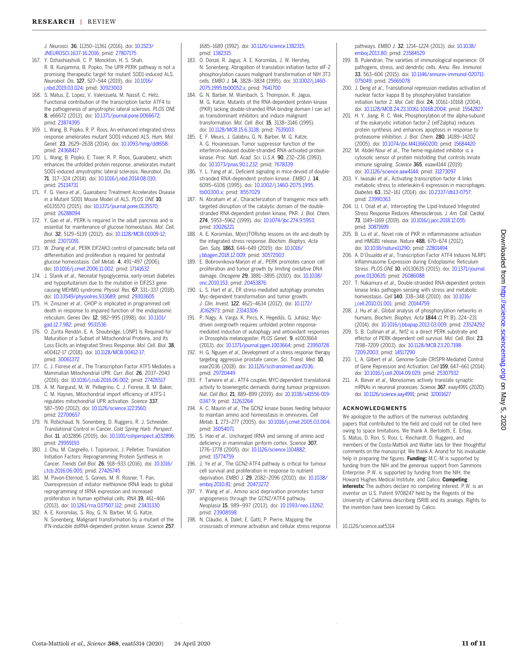#### <span id="page-11-0"></span>RESEARCH | REVIEW

J. Neurosci. 36, 11350–11361 (2016). doi: [10.1523/](http://dx.doi.org/10.1523/JNEUROSCI.1637-16.2016) [JNEUROSCI.1637-16.2016](http://dx.doi.org/10.1523/JNEUROSCI.1637-16.2016); pmid: [27807175](http://www.ncbi.nlm.nih.gov/pubmed/27807175)

- 167. Y. Dzhashiashvili, C. P. Monckton, H. S. Shah, R. B. Kunjamma, B. Popko, The UPR-PERK pathway is not a promising therapeutic target for mutant SOD1-induced ALS. Neurobiol. Dis. 127, 527–544 (2019). doi: [10.1016/](http://dx.doi.org/10.1016/j.nbd.2019.03.024) nbd.2019.03.024; pmid: [30923003](http://www.ncbi.nlm.nih.gov/pubmed/30923003)
- 168. S. Matus, E. Lopez, V. Valenzuela, M. Nassif, C. Hetz, Functional contribution of the transcription factor ATF4 to the pathogenesis of amyotrophic lateral sclerosis. PLOS ONE 8, e66672 (2013). doi: [10.1371/journal.pone.0066672;](http://dx.doi.org/10.1371/journal.pone.0066672) pmid: [23874395](http://www.ncbi.nlm.nih.gov/pubmed/23874395)
- 169. L. Wang, B. Popko, R. P. Roos, An enhanced integrated stress response ameliorates mutant SOD1-induced ALS. Hum. Mol. Genet. 23, 2629–2638 (2014). doi: [10.1093/hmg/ddt658](http://dx.doi.org/10.1093/hmg/ddt658); pmid: [24368417](http://www.ncbi.nlm.nih.gov/pubmed/24368417)
- 170. L. Wang, B. Popko, E. Tixier, R. P. Roos, Guanabenz, which enhances the unfolded protein response, ameliorates mutant SOD1-induced amyotrophic lateral sclerosis. Neurobiol. Dis. 71, 317–324 (2014). doi: [10.1016/j.nbd.2014.08.010](http://dx.doi.org/10.1016/j.nbd.2014.08.010); pmid: [25134731](http://www.ncbi.nlm.nih.gov/pubmed/25134731)
- 171. F. G. Vieira et al., Guanabenz Treatment Accelerates Disease in a Mutant SOD1 Mouse Model of ALS. PLOS ONE 10, e0135570 (2015). doi: [10.1371/journal.pone.0135570;](http://dx.doi.org/10.1371/journal.pone.0135570) pmid: [26288094](http://www.ncbi.nlm.nih.gov/pubmed/26288094)
- 172. Y. Gao et al., PERK is required in the adult pancreas and is essential for maintenance of glucose homeostasis. Mol. Cell. Biol. 32, 5129–5139 (2012). doi: [10.1128/MCB.01009-12](http://dx.doi.org/10.1128/MCB.01009-12); pmid: [23071091](http://www.ncbi.nlm.nih.gov/pubmed/23071091)
- 173. W. Zhang et al., PERK EIF2AK3 control of pancreatic beta cell differentiation and proliferation is required for postnatal glucose homeostasis. Cell Metab. 4, 491–497 (2006). doi: [10.1016/j.cmet.2006.11.002;](http://dx.doi.org/10.1016/j.cmet.2006.11.002) pmid: [17141632](http://www.ncbi.nlm.nih.gov/pubmed/17141632)
- 174. J. Stanik et al., Neonatal hypoglycemia, early-onset diabetes and hypopituitarism due to the mutation in EIF2S3 gene causing MEHMO syndrome. Physiol. Res. 67, 331–337 (2018). doi: [10.33549/physiolres.933689](http://dx.doi.org/10.33549/physiolres.933689); pmid: [29303605](http://www.ncbi.nlm.nih.gov/pubmed/29303605)
- 175. H. Zinszner et al., CHOP is implicated in programmed cell death in response to impaired function of the endoplasmic reticulum. Genes Dev. 12, 982–995 (1998). doi: [10.1101/](http://dx.doi.org/10.1101/gad.12.7.982) [gad.12.7.982;](http://dx.doi.org/10.1101/gad.12.7.982) pmid: [9531536](http://www.ncbi.nlm.nih.gov/pubmed/9531536)
- 176. O. Zurita Rendón, E. A. Shoubridge, LONP1 Is Required for Maturation of a Subset of Mitochondrial Proteins, and Its Loss Elicits an Integrated Stress Response. Mol. Cell. Biol. 38, e00412-17 (2018). doi: [10.1128/MCB.00412-17](http://dx.doi.org/10.1128/MCB.00412-17); pmid: [30061372](http://www.ncbi.nlm.nih.gov/pubmed/30061372)
- 177. C. J. Fiorese et al., The Transcription Factor ATF5 Mediates a Mammalian Mitochondrial UPR. Curr. Biol. 26, 2037–2043 (2016). doi: [10.1016/j.cub.2016.06.002;](http://dx.doi.org/10.1016/j.cub.2016.06.002) pmid: [27426517](http://www.ncbi.nlm.nih.gov/pubmed/27426517)
- 178. A. M. Nargund, M. W. Pellegrino, C. J. Fiorese, B. M. Baker, C. M. Haynes, Mitochondrial import efficiency of ATFS-1 regulates mitochondrial UPR activation. Science 337, 587–590 (2012). doi: [10.1126/science.1223560](http://dx.doi.org/10.1126/science.1223560); pmid: [22700657](http://www.ncbi.nlm.nih.gov/pubmed/22700657)
- 179. N. Robichaud, N. Sonenberg, D. Ruggero, R. J. Schneider, Translational Control in Cancer. Cold Spring Harb. Perspect. Biol. 11, a032896 (2019). doi: [10.1101/cshperspect.a032896;](http://dx.doi.org/10.1101/cshperspect.a032896) pmid: [29959193](http://www.ncbi.nlm.nih.gov/pubmed/29959193)
- 180. J. Chu, M. Cargnello, I. Topisirovic, J. Pelletier, Translation Initiation Factors: Reprogramming Protein Synthesis in Cancer. Trends Cell Biol. 26, 918–933 (2016). doi: [10.1016/](http://dx.doi.org/10.1016/j.tcb.2016.06.005) .tcb.2016.06.005; pmid: [27426745](http://www.ncbi.nlm.nih.gov/pubmed/27426745)
- 181. M. Pavon-Eternod, S. Gomes, M. R. Rosner, T. Pan, Overexpression of initiator methionine tRNA leads to global reprogramming of tRNA expression and increased proliferation in human epithelial cells. RNA 19, 461–466 (2013). doi: [10.1261/rna.037507.112](http://dx.doi.org/10.1261/rna.037507.112); pmid: [23431330](http://www.ncbi.nlm.nih.gov/pubmed/23431330)
- 182. A. E. Koromilas, S. Roy, G. N. Barber, M. G. Katze, N. Sonenberg, Malignant transformation by a mutant of the IFN-inducible dsRNA-dependent protein kinase. Science 257,

1685–1689 (1992). doi: [10.1126/science.1382315;](http://dx.doi.org/10.1126/science.1382315) pmid: [1382315](http://www.ncbi.nlm.nih.gov/pubmed/1382315)

- 183. O. Donzé, R. Jagus, A. E. Koromilas, J. W. Hershey, N. Sonenberg, Abrogation of translation initiation factor eIF-2 phosphorylation causes malignant transformation of NIH 3T3 cells. EMBO J. 14, 3828–3834 (1995). doi: [10.1002/j.1460-](http://dx.doi.org/10.1002/j.1460-2075.1995.tb00052.x) [2075.1995.tb00052.x](http://dx.doi.org/10.1002/j.1460-2075.1995.tb00052.x); pmid: [7641700](http://www.ncbi.nlm.nih.gov/pubmed/7641700)
- 184. G. N. Barber, M. Wambach, S. Thompson, R. Jagus, M. G. Katze, Mutants of the RNA-dependent protein kinase (PKR) lacking double-stranded RNA binding domain I can act as transdominant inhibitors and induce malignant transformation. Mol. Cell. Biol. 15, 3138–3146 (1995). doi: [10.1128/MCB.15.6.3138;](http://dx.doi.org/10.1128/MCB.15.6.3138) pmid: [7539103](http://www.ncbi.nlm.nih.gov/pubmed/7539103)
- 185. E. F. Meurs, J. Galabru, G. N. Barber, M. G. Katze, A. G. Hovanessian, Tumor suppressor function of the interferon-induced double-stranded RNA-activated protein kinase. Proc. Natl. Acad. Sci. U.S.A. 90, 232–236 (1993). doi: [10.1073/pnas.90.1.232](http://dx.doi.org/10.1073/pnas.90.1.232); pmid: [7678339](http://www.ncbi.nlm.nih.gov/pubmed/7678339)
- 186. Y. L. Yang et al., Deficient signaling in mice devoid of doublestranded RNA-dependent protein kinase. EMBO J. 14, 6095–6106 (1995). doi: [10.1002/j.1460-2075.1995.](http://dx.doi.org/10.1002/j.1460-2075.1995.tb00300.x) [tb00300.x;](http://dx.doi.org/10.1002/j.1460-2075.1995.tb00300.x) pmid: [8557029](http://www.ncbi.nlm.nih.gov/pubmed/8557029)
- 187. N. Abraham et al., Characterization of transgenic mice with targeted disruption of the catalytic domain of the doublestranded RNA-dependent protein kinase, PKR. J. Biol. Chem. 274, 5953–5962 (1999). doi: [10.1074/jbc.274.9.5953](http://dx.doi.org/10.1074/jbc.274.9.5953); pmid: [10026221](http://www.ncbi.nlm.nih.gov/pubmed/10026221)
- 188. A. E. Koromilas, M(en)TORship lessons on life and death by the integrated stress response. Biochim. Biophys. Acta Gen. Subj. 1863, 644–649 (2019). doi: [10.1016/](http://dx.doi.org/10.1016/j.bbagen.2018.12.009) [j.bbagen.2018.12.009](http://dx.doi.org/10.1016/j.bbagen.2018.12.009); pmid: [30572003](http://www.ncbi.nlm.nih.gov/pubmed/30572003)
- 189. E. Bobrovnikova-Marjon et al., PERK promotes cancer cell proliferation and tumor growth by limiting oxidative DNA<br>damage. *Oncogene* 29, 3881–3895 (2010). doi: [10.1038/](http://dx.doi.org/10.1038/onc.2010.153) [onc.2010.153](http://dx.doi.org/10.1038/onc.2010.153); pmid: [20453876](http://www.ncbi.nlm.nih.gov/pubmed/20453876)
- 190. L. S. Hart et al., ER stress-mediated autophagy promotes Myc-dependent transformation and tumor growth. J. Clin. Invest. 122, 4621–4634 (2012). doi: [10.1172/](http://dx.doi.org/10.1172/JCI62973) [JCI62973;](http://dx.doi.org/10.1172/JCI62973) pmid: [23143306](http://www.ncbi.nlm.nih.gov/pubmed/23143306)
- 191. P. Nagy, A. Varga, K. Pircs, K. Hegedűs, G. Juhász, Mycdriven overgrowth requires unfolded protein responsemediated induction of autophagy and antioxidant responses in Drosophila melanogaster. PLOS Genet. 9, e1003664 (2013). doi: [10.1371/journal.pgen.1003664](http://dx.doi.org/10.1371/journal.pgen.1003664); pmid: [23950728](http://www.ncbi.nlm.nih.gov/pubmed/23950728)
- 192. H. G. Nguyen et al., Development of a stress response therapy targeting aggressive prostate cancer. Sci. Transl. Med. 10, eaar2036 (2018). doi: [10.1126/scitranslmed.aar2036;](http://dx.doi.org/10.1126/scitranslmed.aar2036) pmid: [29720449](http://www.ncbi.nlm.nih.gov/pubmed/29720449)
- 193. F. Tameire et al., ATF4 couples MYC-dependent translational activity to bioenergetic demands during tumour progression. Nat. Cell Biol. 21, 889–899 (2019). doi: [10.1038/s41556-019-](http://dx.doi.org/10.1038/s41556-019-0347-9) [0347-9;](http://dx.doi.org/10.1038/s41556-019-0347-9) pmid: [31263264](http://www.ncbi.nlm.nih.gov/pubmed/31263264)
- 194. A. C. Maurin et al., The GCN2 kinase biases feeding behavior to maintain amino acid homeostasis in omnivores. Cell Metab. 1, 273–277 (2005). doi: [10.1016/j.cmet.2005.03.004;](http://dx.doi.org/10.1016/j.cmet.2005.03.004) pmid: [16054071](http://www.ncbi.nlm.nih.gov/pubmed/16054071)
- 195. S. Hao et al., Uncharged tRNA and sensing of amino acid deficiency in mammalian piriform cortex. Science 307, 1776–1778 (2005). doi: [10.1126/science.1104882;](http://dx.doi.org/10.1126/science.1104882) pmid: [15774759](http://www.ncbi.nlm.nih.gov/pubmed/15774759)
- 196. J. Ye et al., The GCN2-ATF4 pathway is critical for tumour cell survival and proliferation in response to nutrient deprivation. EMBO J. 29, 2082–2096 (2010). doi: [10.1038/](http://dx.doi.org/10.1038/emboj.2010.81) [emboj.2010.81](http://dx.doi.org/10.1038/emboj.2010.81); pmid: [20473272](http://www.ncbi.nlm.nih.gov/pubmed/20473272)
- 197. Y. Wang et al., Amino acid deprivation promotes tumor angiogenesis through the GCN2/ATF4 pathway. Neoplasia 15, 989–997 (2013). doi: [10.1593/neo.13262](http://dx.doi.org/10.1593/neo.13262); pmid: [23908598](http://www.ncbi.nlm.nih.gov/pubmed/23908598)
- 198. N. Cláudio, A. Dalet, E. Gatti, P. Pierre, Mapping the crossroads of immune activation and cellular stress response

pathways. EMBO J. 32, 1214–1224 (2013). doi: [10.1038/](http://dx.doi.org/10.1038/emboj.2013.80) [emboj.2013.80](http://dx.doi.org/10.1038/emboj.2013.80); pmid: [23584529](http://www.ncbi.nlm.nih.gov/pubmed/23584529)

- 199. B. Pulendran, The varieties of immunological experience: Of pathogens, stress, and dendritic cells. Annu. Rev. Immunol. 33, 563–606 (2015). doi: [10.1146/annurev-immunol-020711-](http://dx.doi.org/10.1146/annurev-immunol-020711-075049) [075049](http://dx.doi.org/10.1146/annurev-immunol-020711-075049); pmid: [25665078](http://www.ncbi.nlm.nih.gov/pubmed/25665078)
- 200. J. Deng et al., Translational repression mediates activation of nuclear factor kappa B by phosphorylated translation initiation factor 2. Mol. Cell. Biol. 24, 10161–10168 (2004). doi: [10.1128/MCB.24.23.10161-10168.2004](http://dx.doi.org/10.1128/MCB.24.23.10161-10168.2004); pmid: [15542827](http://www.ncbi.nlm.nih.gov/pubmed/15542827)
- 201. H. Y. Jiang, R. C. Wek, Phosphorylation of the alpha-subunit of the eukaryotic initiation factor-2 (eIF2alpha) reduces protein synthesis and enhances apoptosis in response to proteasome inhibition. J. Biol. Chem. 280, 14189–14202 (2005). doi: [10.1074/jbc.M413660200;](http://dx.doi.org/10.1074/jbc.M413660200) pmid: [15684420](http://www.ncbi.nlm.nih.gov/pubmed/15684420)
- 202. M. Abdel-Nour et al., The heme-regulated inhibitor is a cytosolic sensor of protein misfolding that controls innate immune signaling. Science 365, eaaw4144 (2019). doi: [10.1126/science.aaw4144;](http://dx.doi.org/10.1126/science.aaw4144) pmid: [31273097](http://www.ncbi.nlm.nih.gov/pubmed/31273097)
- 203. Y. Iwasaki et al., Activating transcription factor 4 links metabolic stress to interleukin-6 expression in macrophages. Diabetes 63, 152–161 (2014). doi: [10.2337/db13-0757;](http://dx.doi.org/10.2337/db13-0757) pmid: [23990363](http://www.ncbi.nlm.nih.gov/pubmed/23990363)
- 204. U. I. Onat et al., Intercepting the Lipid-Induced Integrated Stress Response Reduces Atherosclerosis. J. Am. Coll. Cardiol. 73, 1149–1169 (2019). doi: [10.1016/j.jacc.2018.12.055](http://dx.doi.org/10.1016/j.jacc.2018.12.055); pmid: [30871699](http://www.ncbi.nlm.nih.gov/pubmed/30871699)
- 205. B. Lu et al., Novel role of PKR in inflammasome activation and HMGB1 release. Nature 488, 670–674 (2012). doi: [10.1038/nature11290;](http://dx.doi.org/10.1038/nature11290) pmid: [22801494](http://www.ncbi.nlm.nih.gov/pubmed/22801494)
- 206. A. D'Osualdo et al., Transcription Factor ATF4 Induces NLRP1 Inflammasome Expression during Endoplasmic Reticulum Stress. PLOS ONE 10, e0130635 (2015). doi: [10.1371/journal.](http://dx.doi.org/10.1371/journal.pone.0130635) [pone.0130635;](http://dx.doi.org/10.1371/journal.pone.0130635) pmid: [26086088](http://www.ncbi.nlm.nih.gov/pubmed/26086088)
- 207. T. Nakamura et al., Double-stranded RNA-dependent protein kinase links pathogen sensing with stress and metabolic homeostasis. Cell 140, 338–348 (2010). doi: [10.1016/](http://dx.doi.org/10.1016/j.cell.2010.01.001) [j.cell.2010.01.001](http://dx.doi.org/10.1016/j.cell.2010.01.001); pmid: [20144759](http://www.ncbi.nlm.nih.gov/pubmed/20144759)
- 208. J. Hu et al., Global analysis of phosphorylation networks in humans. Biochim. Biophys. Acta 1844 (1 Pt B), 224-231 (2014). doi: [10.1016/j.bbapap.2013.03.009](http://dx.doi.org/10.1016/j.bbapap.2013.03.009); pmid: [23524292](http://www.ncbi.nlm.nih.gov/pubmed/23524292)
- 209. S. B. Cullinan et al., Nrf2 is a direct PERK substrate and effector of PERK-dependent cell survival. Mol. Cell. Biol. 23, 7198–7209 (2003). doi: [10.1128/MCB.23.20.7198-](http://dx.doi.org/10.1128/MCB.23.20.7198-7209.2003) [7209.2003;](http://dx.doi.org/10.1128/MCB.23.20.7198-7209.2003) pmid: [14517290](http://www.ncbi.nlm.nih.gov/pubmed/14517290)
- 210. L. A. Gilbert et al., Genome-Scale CRISPR-Mediated Control of Gene Repression and Activation. Cell 159, 647–661 (2014). doi: [10.1016/j.cell.2014.09.029](http://dx.doi.org/10.1016/j.cell.2014.09.029); pmid: [25307932](http://www.ncbi.nlm.nih.gov/pubmed/25307932)
- 211. A. Biever et al., Monosomes actively translate synaptic mRNAs in neuronal processes. Science 367, eaay4991 (2020). doi: [10.1126/science.aay4991](http://dx.doi.org/10.1126/science.aay4991); pmid: [32001627](http://www.ncbi.nlm.nih.gov/pubmed/32001627)

# ACKNOWLEDGMENTS

We apologize to the authors of the numerous outstanding papers that contributed to the field and could not be cited here owing to space limitations. We thank A. Bertolotti, E. Erbay, S. Matus, D. Ron, S. Rosi, L. Reichardt, D. Ruggero, and members of the Costa-Mattioli and Walter labs for their thoughtful comments on the manuscript. We thank A. Anand for his invaluable help in preparing the figures. Funding: M.C.-M is supported by funding from the NIH and the generous support from Sammons Enterprise. P.W. is supported by funding from the NIH, the Howard Hughes Medical Institute, and Calico. Competing interests: The authors declare no competing interest. P.W. is an inventor on U.S. Patent 9708247 held by the Regents of the University of California describing ISRIB and its analogs. Rights to the invention have been licensed by Calico.

10.1126/science.aat5314